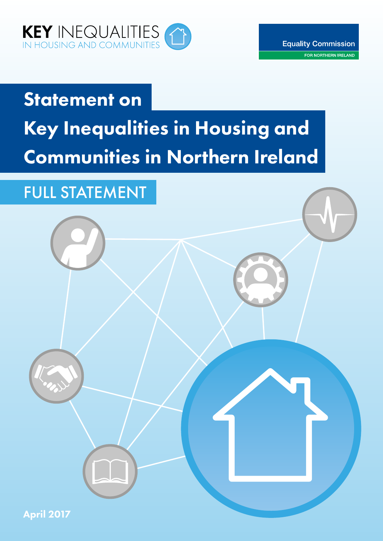

## Statement on Key Inequalities in Housing and Communities in Northern Ireland

## FULL STATEMENT

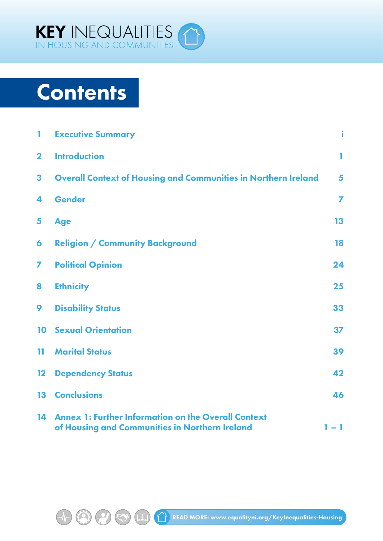

## **Contents**

 $\bigoplus$ 

 $\boldsymbol{\Theta}$ 

 $\boxed{1}$ 

| T            | <b>Executive Summary</b>                                                                                     | ì              |
|--------------|--------------------------------------------------------------------------------------------------------------|----------------|
| $\mathbf{2}$ | <b>Introduction</b>                                                                                          | ı.             |
| 3            | <b>Overall Context of Housing and Communities in Northern Ireland</b>                                        | 5              |
| 4            | Gender                                                                                                       | $\overline{ }$ |
| 5            | <b>Age</b>                                                                                                   | 13             |
| 6            | <b>Religion / Community Background</b>                                                                       | 18             |
| 7            | <b>Political Opinion</b>                                                                                     | 24             |
| 8            | <b>Ethnicity</b>                                                                                             | 25             |
| 9            | <b>Disability Status</b>                                                                                     | 33             |
| 10           | <b>Sexual Orientation</b>                                                                                    | 37             |
| 11.          | <b>Marital Status</b>                                                                                        | 39             |
| $12 \,$      | <b>Dependency Status</b>                                                                                     | 42             |
| 13           | <b>Conclusions</b>                                                                                           | 46             |
| 14           | <b>Annex 1: Further Information on the Overall Context</b><br>of Housing and Communities in Northern Ireland | 1 – 1          |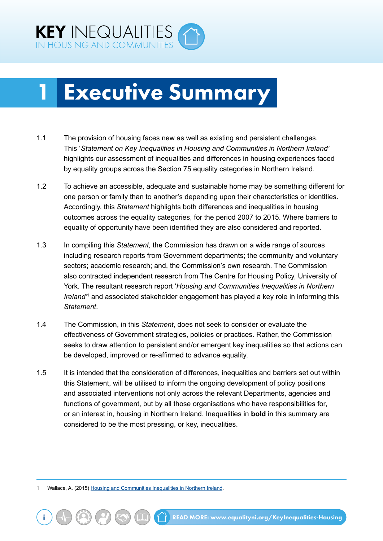<span id="page-2-0"></span>

## 1 Executive Summary

- 1.1 The provision of housing faces new as well as existing and persistent challenges. This '*Statement on Key Inequalities in Housing and Communities in Northern Ireland'*  highlights our assessment of inequalities and differences in housing experiences faced by equality groups across the Section 75 equality categories in Northern Ireland.
- 1.2 To achieve an accessible, adequate and sustainable home may be something different for one person or family than to another's depending upon their characteristics or identities. Accordingly, this *Statement* highlights both differences and inequalities in housing outcomes across the equality categories, for the period 2007 to 2015. Where barriers to equality of opportunity have been identified they are also considered and reported.
- 1.3 In compiling this *Statement,* the Commission has drawn on a wide range of sources including research reports from Government departments; the community and voluntary sectors; academic research; and, the Commission's own research. The Commission also contracted independent research from The Centre for Housing Policy, University of York. The resultant research report '*Housing and Communities Inequalities in Northern Ireland<sup>\*</sup>* and associated stakeholder engagement has played a key role in informing this *Statement*.
- 1.4 The Commission, in this *Statement*, does not seek to consider or evaluate the effectiveness of Government strategies, policies or practices. Rather, the Commission seeks to draw attention to persistent and/or emergent key inequalities so that actions can be developed, improved or re-affirmed to advance equality.
- 1.5 It is intended that the consideration of differences, inequalities and barriers set out within this Statement, will be utilised to inform the ongoing development of policy positions and associated interventions not only across the relevant Departments, agencies and functions of government, but by all those organisations who have responsibilities for, or an interest in, housing in Northern Ireland. Inequalities in **bold** in this summary are considered to be the most pressing, or key, inequalities.

1 Wallace, A. (2015) [Housing and Communities Inequalities in Northern Ireland.](http://www.equalityni.org/ECNI/media/ECNI/Publications/Delivering%20Equality/HousingInequalities-FullReport.pdf)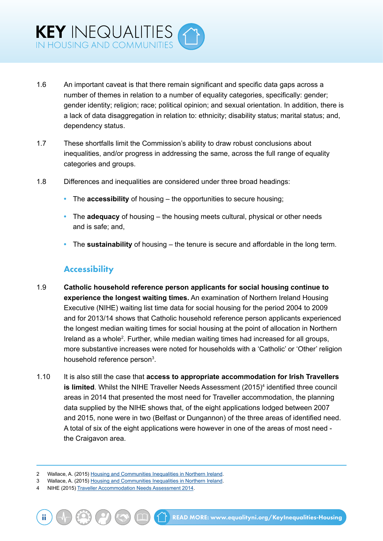- 1.6 An important caveat is that there remain significant and specific data gaps across a number of themes in relation to a number of equality categories, specifically: gender; gender identity; religion; race; political opinion; and sexual orientation. In addition, there is a lack of data disaggregation in relation to: ethnicity; disability status; marital status; and, dependency status.
- 1.7 These shortfalls limit the Commission's ability to draw robust conclusions about inequalities, and/or progress in addressing the same, across the full range of equality categories and groups.
- 1.8 Differences and inequalities are considered under three broad headings:
	- **•** The **accessibility** of housing the opportunities to secure housing;
	- **•** The **adequacy** of housing the housing meets cultural, physical or other needs and is safe; and,
	- **•** The **sustainability** of housing the tenure is secure and affordable in the long term.

#### **Accessibility**

- 1.9 **Catholic household reference person applicants for social housing continue to experience the longest waiting times.** An examination of Northern Ireland Housing Executive (NIHE) waiting list time data for social housing for the period 2004 to 2009 and for 2013/14 shows that Catholic household reference person applicants experienced the longest median waiting times for social housing at the point of allocation in Northern Ireland as a whole<sup>2</sup>. Further, while median waiting times had increased for all groups, more substantive increases were noted for households with a 'Catholic' or 'Other' religion household reference person $^3$ .
- 1.10 It is also still the case that **access to appropriate accommodation for Irish Travellers is limited**. Whilst the NIHE Traveller Needs Assessment (2015)<sup>4</sup> identified three council areas in 2014 that presented the most need for Traveller accommodation, the planning data supplied by the NIHE shows that, of the eight applications lodged between 2007 and 2015, none were in two (Belfast or Dungannon) of the three areas of identified need. A total of six of the eight applications were however in one of the areas of most need the Craigavon area.

<sup>2</sup> Wallace, A. (2015) [Housing and Communities Inequalities in Northern Ireland.](http://www.equalityni.org/ECNI/media/ECNI/Publications/Delivering%20Equality/HousingInequalities-FullReport.pdf)

<sup>3</sup> Wallace, A. (2015) [Housing and Communities Inequalities in Northern Ireland.](http://www.equalityni.org/ECNI/media/ECNI/Publications/Delivering%20Equality/HousingInequalities-FullReport.pdf)

<sup>4</sup> NIHE (2015) [Traveller Accommodation Needs Assessment 2014.](http://www.nihe.gov.uk/traveller_accommodation_needs_assessment_2014__published_march_2015_.pdf)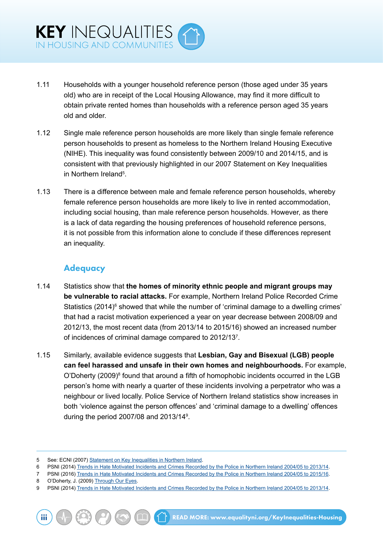- 1.11 Households with a younger household reference person (those aged under 35 years old) who are in receipt of the Local Housing Allowance, may find it more difficult to obtain private rented homes than households with a reference person aged 35 years old and older.
- 1.12 Single male reference person households are more likely than single female reference person households to present as homeless to the Northern Ireland Housing Executive (NIHE). This inequality was found consistently between 2009/10 and 2014/15, and is consistent with that previously highlighted in our 2007 Statement on Key Inequalities in Northern Ireland<sup>5</sup>.
- 1.13 There is a difference between male and female reference person households, whereby female reference person households are more likely to live in rented accommodation, including social housing, than male reference person households. However, as there is a lack of data regarding the housing preferences of household reference persons, it is not possible from this information alone to conclude if these differences represent an inequality.

#### **Adequacy**

- 1.14 Statistics show that **the homes of minority ethnic people and migrant groups may be vulnerable to racial attacks.** For example, Northern Ireland Police Recorded Crime Statistics (2014)<sup>6</sup> showed that while the number of 'criminal damage to a dwelling crimes' that had a racist motivation experienced a year on year decrease between 2008/09 and 2012/13, the most recent data (from 2013/14 to 2015/16) showed an increased number of incidences of criminal damage compared to 2012/137 .
- 1.15 Similarly, available evidence suggests that **Lesbian, Gay and Bisexual (LGB) people can feel harassed and unsafe in their own homes and neighbourhoods.** For example, O'Doherty (2009)<sup>8</sup> found that around a fifth of homophobic incidents occurred in the LGB person's home with nearly a quarter of these incidents involving a perpetrator who was a neighbour or lived locally. Police Service of Northern Ireland statistics show increases in both 'violence against the person offences' and 'criminal damage to a dwelling' offences during the period 2007/08 and 2013/149 .

6 PSNI (2014) [Trends in Hate Motivated Incidents and Crimes Recorded by the Police in Northern Ireland 2004/05 to 2013/14.](http://www.psni.police.uk/index/updates/updates_statistics/updates_hate_motivation_statistics.htm)

8 O'Doherty, J. (2009) [Through Our Eyes.](http://www.rainbow-project.org/assets/publications/through_our_eyes.pdf)

<sup>5</sup> See: ECNI (2007) [Statement on Key Inequalities in Northern Ireland.](http://www.equalityni.org/ECNI/media/ECNI/Publications/Delivering%20Equality/Keyinequalities(F)1107.pdf)

<sup>7</sup> PSNI (2016) [Trends in Hate Motivated Incidents and Crimes Recorded by the Police in Northern Ireland 2004/05 to 2015/16.](https://www.psni.police.uk/globalassets/inside-the-psni/our-statistics/hate-motivation-statistics/hate-motivated-incidents-and-crimes-in-northern-ireland-2004-05-to-2015-16.pdf)

<sup>9</sup> PSNI (2014) [Trends in Hate Motivated Incidents and Crimes Recorded by the Police in Northern Ireland 2004/05 to 2013/14.](http://www.psni.police.uk/index/updates/updates_statistics/updates_hate_motivation_statistics.htm)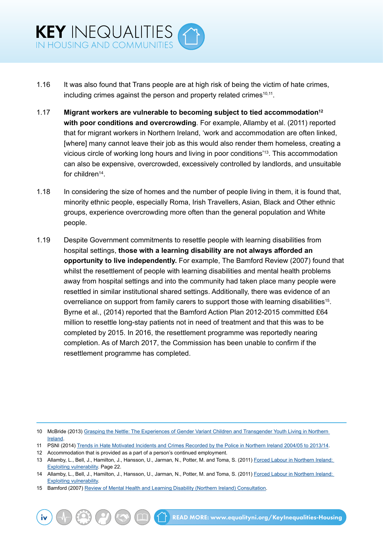- 1.16 It was also found that Trans people are at high risk of being the victim of hate crimes, including crimes against the person and property related crimes<sup>10,11</sup>.
- 1.17 **Migrant workers are vulnerable to becoming subject to tied accommodation12 with poor conditions and overcrowding**. For example, Allamby et al. (2011) reported that for migrant workers in Northern Ireland, 'work and accommodation are often linked, [where] many cannot leave their job as this would also render them homeless, creating a vicious circle of working long hours and living in poor conditions'13. This accommodation can also be expensive, overcrowded, excessively controlled by landlords, and unsuitable for children<sup>14</sup>.
- 1.18 In considering the size of homes and the number of people living in them, it is found that, minority ethnic people, especially Roma, Irish Travellers, Asian, Black and Other ethnic groups, experience overcrowding more often than the general population and White people.
- 1.19 Despite Government commitments to resettle people with learning disabilities from hospital settings, **those with a learning disability are not always afforded an opportunity to live independently.** For example, The Bamford Review (2007) found that whilst the resettlement of people with learning disabilities and mental health problems away from hospital settings and into the community had taken place many people were resettled in similar institutional shared settings. Additionally, there was evidence of an overreliance on support from family carers to support those with learning disabilities<sup>15</sup>. Byrne et al., (2014) reported that the Bamford Action Plan 2012-2015 committed £64 million to resettle long-stay patients not in need of treatment and that this was to be completed by 2015. In 2016, the resettlement programme was reportedly nearing completion. As of March 2017, the Commission has been unable to confirm if the resettlement programme has completed.

<sup>10</sup> McBride (2013) Grasping the Nettle: The Experiences of Gender Variant Children and Transgender Youth Living in Northern [Ireland](https://www.ofmdfmni.gov.uk/sites/default/files/publications/ofmdfm_dev/grasping-the-nettle-transgender-youth-living-in-ni.pdf).

<sup>11</sup> PSNI (2014) [Trends in Hate Motivated Incidents and Crimes Recorded by the Police in Northern Ireland 2004/05 to 2013/14.](http://www.psni.police.uk/index/updates/updates_statistics/updates_hate_motivation_statistics.htm)

<sup>12</sup> Accommodation that is provided as a part of a person's continued employment.

<sup>13</sup> Allamby, L., Bell, J., Hamilton, J., Hansson, U., Jarman, N., Potter, M. and Toma, S. (2011) [Forced Labour in Northern Ireland:](http://conflictresearch.org.uk/reports/migration/forced-labour-Northern-Ireland-full.pdf)  **[Exploiting vulnerability](http://conflictresearch.org.uk/reports/migration/forced-labour-Northern-Ireland-full.pdf). Page 22.** 

<sup>14</sup> Allamby, L., Bell, J., Hamilton, J., Hansson, U., Jarman, N., Potter, M. and Toma, S. (2011) Forced Labour in Northern Ireland: [Exploiting vulnerability](http://conflictresearch.org.uk/reports/migration/forced-labour-Northern-Ireland-full.pdf).

<sup>15</sup> Bamford (2007) [Review of Mental Health and Learning Disability \(Northern Ireland\) Consultation](http://www.dhsspsni.gov.uk/legal_issues_consultation_report.pdf).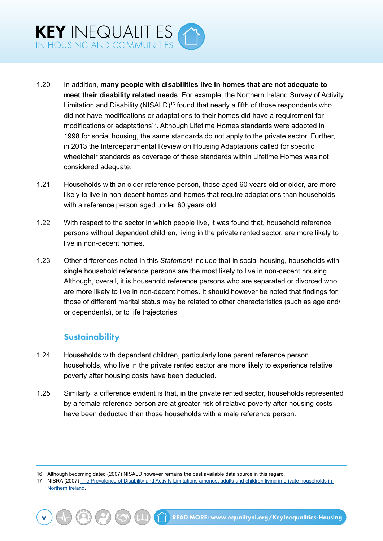- 1.20 In addition, **many people with disabilities live in homes that are not adequate to meet their disability related needs**. For example, the Northern Ireland Survey of Activity Limitation and Disability (NISALD)<sup>16</sup> found that nearly a fifth of those respondents who did not have modifications or adaptations to their homes did have a requirement for modifications or adaptations<sup>17</sup>. Although Lifetime Homes standards were adopted in 1998 for social housing, the same standards do not apply to the private sector. Further, in 2013 the Interdepartmental Review on Housing Adaptations called for specific wheelchair standards as coverage of these standards within Lifetime Homes was not considered adequate.
- 1.21 Households with an older reference person, those aged 60 years old or older, are more likely to live in non-decent homes and homes that require adaptations than households with a reference person aged under 60 years old.
- 1.22 With respect to the sector in which people live, it was found that, household reference persons without dependent children, living in the private rented sector, are more likely to live in non-decent homes.
- 1.23 Other differences noted in this *Statement* include that in social housing, households with single household reference persons are the most likely to live in non-decent housing. Although, overall, it is household reference persons who are separated or divorced who are more likely to live in non-decent homes. It should however be noted that findings for those of different marital status may be related to other characteristics (such as age and/ or dependents), or to life trajectories.

### **Sustainability**

- 1.24 Households with dependent children, particularly lone parent reference person households, who live in the private rented sector are more likely to experience relative poverty after housing costs have been deducted.
- 1.25 Similarly, a difference evident is that, in the private rented sector, households represented by a female reference person are at greater risk of relative poverty after housing costs have been deducted than those households with a male reference person.

16 Although becoming dated (2007) NISALD however remains the best available data source in this regard.

<sup>17</sup> NISRA (2007) The Prevalence of Disability and Activity Limitations amongst adults and children living in private households in [Northern Ireland.](http://www.csu.nisra.gov.uk/NISALD%20Household%20Prevalence%20Report.pdf)

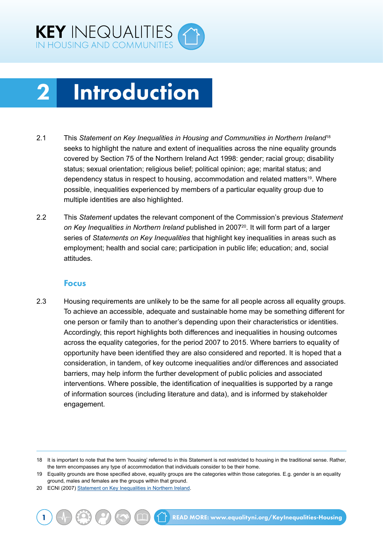<span id="page-7-0"></span>

## 2 Introduction

- 2.1 This *Statement on Key Inequalities in Housing and Communities in Northern Ireland*<sup>18</sup> seeks to highlight the nature and extent of inequalities across the nine equality grounds covered by Section 75 of the Northern Ireland Act 1998: gender; racial group; disability status; sexual orientation; religious belief; political opinion; age; marital status; and dependency status in respect to housing, accommodation and related matters<sup>19</sup>. Where possible, inequalities experienced by members of a particular equality group due to multiple identities are also highlighted.
- 2.2 This *Statement* updates the relevant component of the Commission's previous *Statement*  on Key Inequalities in Northern Ireland published in 2007<sup>20</sup>. It will form part of a larger series of *Statements on Key Inequalities* that highlight key inequalities in areas such as employment; health and social care; participation in public life; education; and, social attitudes.

#### Focus

2.3 Housing requirements are unlikely to be the same for all people across all equality groups. To achieve an accessible, adequate and sustainable home may be something different for one person or family than to another's depending upon their characteristics or identities. Accordingly, this report highlights both differences and inequalities in housing outcomes across the equality categories, for the period 2007 to 2015. Where barriers to equality of opportunity have been identified they are also considered and reported. It is hoped that a consideration, in tandem, of key outcome inequalities and/or differences and associated barriers, may help inform the further development of public policies and associated interventions. Where possible, the identification of inequalities is supported by a range of information sources (including literature and data), and is informed by stakeholder engagement.

<sup>18</sup> It is important to note that the term 'housing' referred to in this Statement is not restricted to housing in the traditional sense. Rather, the term encompasses any type of accommodation that individuals consider to be their home.

<sup>19</sup> Equality grounds are those specified above, equality groups are the categories within those categories. E.g. gender is an equality ground, males and females are the groups within that ground.

<sup>20</sup> ECNI (2007) [Statement on Key Inequalities in Northern Ireland](http://www.equalityni.org/ECNI/media/ECNI/Publications/Delivering%20Equality/Keyinequalities(F)1107.pdf).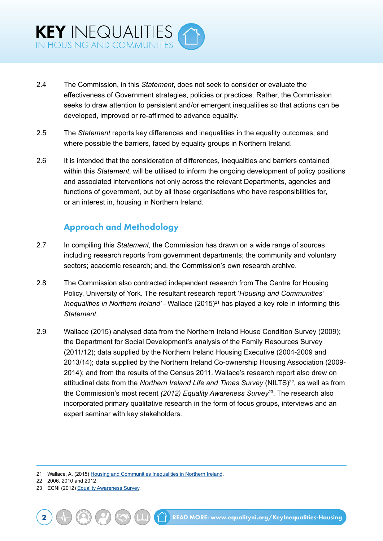- 2.4 The Commission, in this *Statement*, does not seek to consider or evaluate the effectiveness of Government strategies, policies or practices. Rather, the Commission seeks to draw attention to persistent and/or emergent inequalities so that actions can be developed, improved or re-affirmed to advance equality.
- 2.5 The *Statement* reports key differences and inequalities in the equality outcomes, and where possible the barriers, faced by equality groups in Northern Ireland.
- 2.6 It is intended that the consideration of differences, inequalities and barriers contained within this *Statement*, will be utilised to inform the ongoing development of policy positions and associated interventions not only across the relevant Departments, agencies and functions of government, but by all those organisations who have responsibilities for, or an interest in, housing in Northern Ireland.

### Approach and Methodology

- 2.7 In compiling this *Statement,* the Commission has drawn on a wide range of sources including research reports from government departments; the community and voluntary sectors; academic research; and, the Commission's own research archive.
- 2.8 The Commission also contracted independent research from The Centre for Housing Policy, University of York. The resultant research report '*Housing and Communities' Inequalities in Northern Ireland'* - Wallace (2015)<sup>21</sup> has played a key role in informing this *Statement*.
- 2.9 Wallace (2015) analysed data from the Northern Ireland House Condition Survey (2009); the Department for Social Development's analysis of the Family Resources Survey (2011/12); data supplied by the Northern Ireland Housing Executive (2004-2009 and 2013/14); data supplied by the Northern Ireland Co-ownership Housing Association (2009- 2014); and from the results of the Census 2011. Wallace's research report also drew on attitudinal data from the *Northern Ireland Life and Times Survey* (NILTS)<sup>22</sup>, as well as from the Commission's most recent *(2012) Equality Awareness Survey*23. The research also incorporated primary qualitative research in the form of focus groups, interviews and an expert seminar with key stakeholders.

22 2006, 2010 and 2012

<sup>21</sup> Wallace, A. (2015) [Housing and Communities Inequalities in Northern Ireland.](http://www.equalityni.org/ECNI/media/ECNI/Publications/Delivering%20Equality/HousingInequalities-FullReport.pdf)

<sup>23</sup> ECNI (2012) [Equality Awareness Survey.](http://www.doyoumeanme.org/2011-survey/)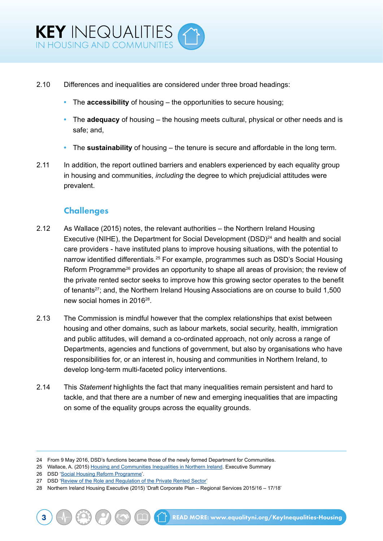- 2.10 Differences and inequalities are considered under three broad headings:
	- **•** The **accessibility** of housing the opportunities to secure housing;
	- **•** The **adequacy** of housing the housing meets cultural, physical or other needs and is safe; and,
	- **•** The **sustainability** of housing the tenure is secure and affordable in the long term.
- 2.11 In addition, the report outlined barriers and enablers experienced by each equality group in housing and communities, *including* the degree to which prejudicial attitudes were prevalent.

### **Challenges**

- 2.12 As Wallace (2015) notes, the relevant authorities the Northern Ireland Housing Executive (NIHE), the Department for Social Development (DSD)<sup>24</sup> and health and social care providers - have instituted plans to improve housing situations, with the potential to narrow identified differentials.<sup>25</sup> For example, programmes such as DSD's Social Housing Reform Programme<sup>26</sup> provides an opportunity to shape all areas of provision; the review of the private rented sector seeks to improve how this growing sector operates to the benefit of tenants<sup>27</sup>; and, the Northern Ireland Housing Associations are on course to build 1,500 new social homes in 201628.
- 2.13 The Commission is mindful however that the complex relationships that exist between housing and other domains, such as labour markets, social security, health, immigration and public attitudes, will demand a co-ordinated approach, not only across a range of Departments, agencies and functions of government, but also by organisations who have responsibilities for, or an interest in, housing and communities in Northern Ireland, to develop long-term multi-faceted policy interventions.
- 2.14 This *Statement* highlights the fact that many inequalities remain persistent and hard to tackle, and that there are a number of new and emerging inequalities that are impacting on some of the equality groups across the equality grounds.

<sup>24</sup> From 9 May 2016, DSD's functions became those of the newly formed Department for Communities.

<sup>25</sup> Wallace, A. (2015) [Housing and Communities Inequalities in Northern Ireland.](http://www.equalityni.org/ECNI/media/ECNI/Publications/Delivering%20Equality/HousingInequalities-FullReport.pdf) Executive Summary

<sup>26</sup> DSD '[Social Housing Reform Programme](https://www.dsdni.gov.uk/topics/housing/social-housing-reform-programme)'.

<sup>27</sup> DSD '[Review of the Role and Regulation of the Private Rented Sector'](https://www.dsdni.gov.uk/consultations/review-role-and-regulation-private-rented-sector)

<sup>28</sup> Northern Ireland Housing Executive (2015) 'Draft Corporate Plan – Regional Services 2015/16 – 17/18'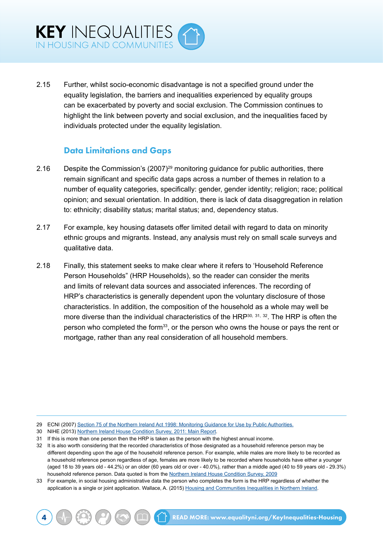2.15 Further, whilst socio-economic disadvantage is not a specified ground under the equality legislation, the barriers and inequalities experienced by equality groups can be exacerbated by poverty and social exclusion. The Commission continues to highlight the link between poverty and social exclusion, and the inequalities faced by individuals protected under the equality legislation.

### Data Limitations and Gaps

- 2.16 Despite the Commission's (2007)<sup>29</sup> monitoring guidance for public authorities, there remain significant and specific data gaps across a number of themes in relation to a number of equality categories, specifically: gender, gender identity; religion; race; political opinion; and sexual orientation. In addition, there is lack of data disaggregation in relation to: ethnicity; disability status; marital status; and, dependency status.
- 2.17 For example, key housing datasets offer limited detail with regard to data on minority ethnic groups and migrants. Instead, any analysis must rely on small scale surveys and qualitative data.
- 2.18 Finally, this statement seeks to make clear where it refers to 'Household Reference Person Households" (HRP Households), so the reader can consider the merits and limits of relevant data sources and associated inferences. The recording of HRP's characteristics is generally dependent upon the voluntary disclosure of those characteristics. In addition, the composition of the household as a whole may well be more diverse than the individual characteristics of the HRP<sup>30, 31, 32</sup>. The HRP is often the person who completed the form<sup>33</sup>, or the person who owns the house or pays the rent or mortgage, rather than any real consideration of all household members.

33 For example, in social housing administrative data the person who completes the form is the HRP regardless of whether the application is a single or joint application. Wallace, A. (2015) [Housing and Communities Inequalities in Northern Ireland](http://www.equalityni.org/ECNI/media/ECNI/Publications/Delivering%20Equality/HousingInequalities-FullReport.pdf).

<sup>29</sup> ECNI (2007) [Section 75 of the Northern Ireland Act 1998: Monitoring Guidance for Use by Public Authorities.](http://www.equalityni.org/Publications/Employers-Service-Providers/Public-Authorities/Section-75-monitoring-guidance?ID=1121)

<sup>30</sup> NIHE (2013) [Northern Ireland House Condition Survey, 2011: Main Report](http://www.nihe.gov.uk/index/corporate/housing_research/house_condition_survey.htm).

<sup>31</sup> If this is more than one person then the HRP is taken as the person with the highest annual income.

<sup>32</sup> It is also worth considering that the recorded characteristics of those designated as a household reference person may be different depending upon the age of the household reference person. For example, while males are more likely to be recorded as a household reference person regardless of age, females are more likely to be recorded where households have either a younger (aged 18 to 39 years old - 44.2%) or an older (60 years old or over - 40.0%), rather than a middle aged (40 to 59 years old - 29.3%) household reference person. Data quoted is from the [Northern Ireland House Condition Survey, 2009](http://www.nihe.gov.uk/index/corporate/housing_research/house_condition_survey.htm)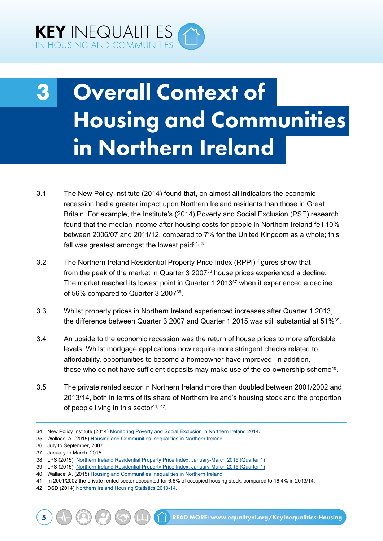<span id="page-11-0"></span>

## 3 Overall Context of Housing and Communities in Northern Ireland

- 3.1 The New Policy Institute (2014) found that, on almost all indicators the economic recession had a greater impact upon Northern Ireland residents than those in Great Britain. For example, the Institute's (2014) Poverty and Social Exclusion (PSE) research found that the median income after housing costs for people in Northern Ireland fell 10% between 2006/07 and 2011/12, compared to 7% for the United Kingdom as a whole; this fall was greatest amongst the lowest paid  $34$ ,  $35$ .
- 3.2 The Northern Ireland Residential Property Price Index (RPPI) figures show that from the peak of the market in Quarter 3 2007<sup>36</sup> house prices experienced a decline. The market reached its lowest point in Quarter 1 2013<sup>37</sup> when it experienced a decline of 56% compared to Quarter 3 200738.
- 3.3 Whilst property prices in Northern Ireland experienced increases after Quarter 1 2013, the difference between Quarter 3 2007 and Quarter 1 2015 was still substantial at 51%<sup>39</sup>.
- 3.4 An upside to the economic recession was the return of house prices to more affordable levels. Whilst mortgage applications now require more stringent checks related to affordability, opportunities to become a homeowner have improved. In addition, those who do not have sufficient deposits may make use of the co-ownership scheme<sup>40</sup>.
- 3.5 The private rented sector in Northern Ireland more than doubled between 2001/2002 and 2013/14, both in terms of its share of Northern Ireland's housing stock and the proportion of people living in this sector<sup>41, 42</sup>.
- 34 New Policy Institute (2014) [Monitoring Poverty and Social Exclusion in Northern Ireland 2014](http://www.jrf.org.uk/publications/monitoring-poverty-and-social-exclusion-northern-ireland-2014).
- 35 Wallace, A. (2015) [Housing and Communities Inequalities in Northern Ireland.](http://www.equalityni.org/ECNI/media/ECNI/Publications/Delivering%20Equality/HousingInequalities-FullReport.pdf)
- 36 July to September, 2007.

39 LPS (2015). [Northern Ireland Residential Property Price Index. January-March 2015 \(Quarter 1\)](https://www.dfpni.gov.uk/publications/ni-residential-property-price-index-quarter-1-2015-statistics)

- 41 In 2001/2002 the private rented sector accounted for 6.6% of occupied housing stock, compared to 16.4% in 2013/14.
- 42 DSD (2014) [Northern Ireland Housing Statistics 2013-14](https://www.dsdni.gov.uk/publications/northern-ireland-housing-statistics-2013-14).

<sup>37</sup> January to March, 2015.

<sup>38</sup> LPS (2015). [Northern Ireland Residential Property Price Index. January-March 2015 \(Quarter 1\)](https://www.dfpni.gov.uk/publications/ni-residential-property-price-index-quarter-1-2015-statistics)

<sup>40</sup> Wallace, A. (2015) [Housing and Communities Inequalities in Northern Ireland.](http://www.equalityni.org/ECNI/media/ECNI/Publications/Delivering%20Equality/HousingInequalities-FullReport.pdf)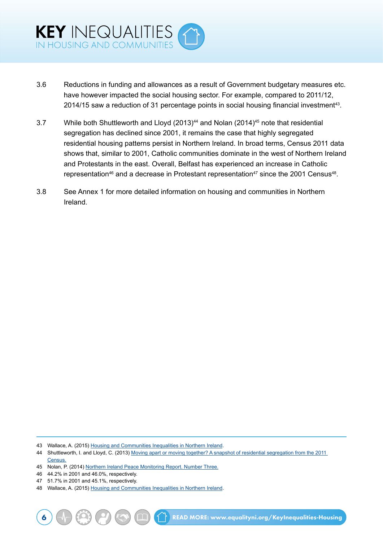

- 3.6 Reductions in funding and allowances as a result of Government budgetary measures etc. have however impacted the social housing sector. For example, compared to 2011/12, 2014/15 saw a reduction of 31 percentage points in social housing financial investment<sup>43</sup>.
- 3.7 While both Shuttleworth and Lloyd (2013)<sup>44</sup> and Nolan (2014)<sup>45</sup> note that residential segregation has declined since 2001, it remains the case that highly segregated residential housing patterns persist in Northern Ireland. In broad terms, Census 2011 data shows that, similar to 2001, Catholic communities dominate in the west of Northern Ireland and Protestants in the east. Overall, Belfast has experienced an increase in Catholic representation<sup>46</sup> and a decrease in Protestant representation<sup>47</sup> since the 2001 Census<sup>48</sup>.
- 3.8 See Annex 1 for more detailed information on housing and communities in Northern Ireland.

- 46 44.2% in 2001 and 46.0%, respectively.
- 47 51.7% in 2001 and 45.1%, respectively.

<sup>43</sup> Wallace, A. (2015) [Housing and Communities Inequalities in Northern Ireland.](http://www.equalityni.org/ECNI/media/ECNI/Publications/Delivering%20Equality/HousingInequalities-FullReport.pdf)

<sup>44</sup> Shuttleworth, I. and Lloyd, C. (2013) [Moving apart or moving together? A snapshot of residential segregation from the 2011](http://www.community-relations.org.uk/wp-content/uploads/2013/11/16CRC-Shared-Space-Section-4.pdf)  [Census.](http://www.community-relations.org.uk/wp-content/uploads/2013/11/16CRC-Shared-Space-Section-4.pdf)

<sup>45</sup> Nolan, P. (2014) [Northern Ireland Peace Monitoring Report. Number Three.](http://www.community-relations.org.uk/programmes/peace-monitoring/)

<sup>48</sup> Wallace, A. (2015) [Housing and Communities Inequalities in Northern Ireland.](http://www.equalityni.org/ECNI/media/ECNI/Publications/Delivering%20Equality/HousingInequalities-FullReport.pdf)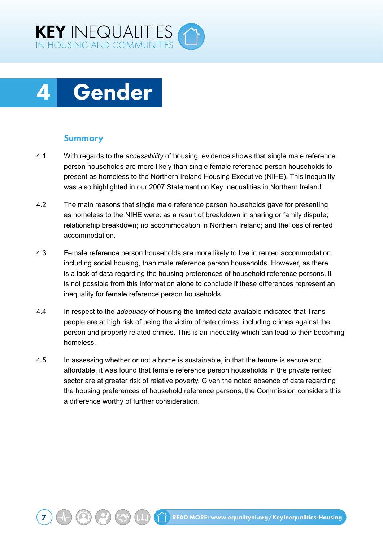<span id="page-13-0"></span>

## 4 Gender

#### Summary

- 4.1 With regards to the *accessibility* of housing, evidence shows that single male reference person households are more likely than single female reference person households to present as homeless to the Northern Ireland Housing Executive (NIHE). This inequality was also highlighted in our 2007 Statement on Key Inequalities in Northern Ireland.
- 4.2 The main reasons that single male reference person households gave for presenting as homeless to the NIHE were: as a result of breakdown in sharing or family dispute; relationship breakdown; no accommodation in Northern Ireland; and the loss of rented accommodation.
- 4.3 Female reference person households are more likely to live in rented accommodation, including social housing, than male reference person households. However, as there is a lack of data regarding the housing preferences of household reference persons, it is not possible from this information alone to conclude if these differences represent an inequality for female reference person households.
- 4.4 In respect to the *adequacy* of housing the limited data available indicated that Trans people are at high risk of being the victim of hate crimes, including crimes against the person and property related crimes. This is an inequality which can lead to their becoming homeless.
- 4.5 In assessing whether or not a home is sustainable, in that the tenure is secure and affordable, it was found that female reference person households in the private rented sector are at greater risk of relative poverty. Given the noted absence of data regarding the housing preferences of household reference persons, the Commission considers this a difference worthy of further consideration.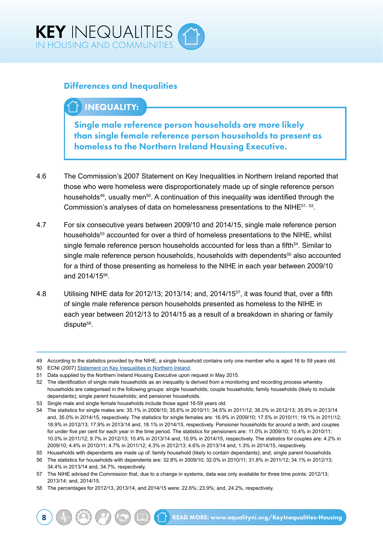

### Differences and Inequalities

## INEQUALITY:

Single male reference person households are more likely than single female reference person households to present as homeless to the Northern Ireland Housing Executive.

- 4.6 The Commission's 2007 Statement on Key Inequalities in Northern Ireland reported that those who were homeless were disproportionately made up of single reference person households<sup>49</sup>, usually men<sup>50</sup>. A continuation of this inequality was identified through the Commission's analyses of data on homelessness presentations to the NIHE51, 52.
- 4.7 For six consecutive years between 2009/10 and 2014/15, single male reference person households<sup>53</sup> accounted for over a third of homeless presentations to the NIHE, whilst single female reference person households accounted for less than a fifth<sup>54</sup>. Similar to single male reference person households, households with dependents<sup>55</sup> also accounted for a third of those presenting as homeless to the NIHE in each year between 2009/10 and 2014/1556.
- 4.8 Utilising NIHE data for 2012/13; 2013/14; and, 2014/1557, it was found that, over a fifth of single male reference person households presented as homeless to the NIHE in each year between 2012/13 to 2014/15 as a result of a breakdown in sharing or family dispute<sup>58</sup>.

<sup>49</sup> According to the statistics provided by the NIHE, a single household contains only one member who is aged 16 to 59 years old.

<sup>50</sup> ECNI (2007) [Statement on Key Inequalities in Northern Ireland](http://www.equalityni.org/ECNI/media/ECNI/Publications/Delivering%20Equality/Keyinequalities(F)1107.pdf).

<sup>51</sup> Data supplied by the Northern Ireland Housing Executive upon request in May 2015.

<sup>52</sup> The identification of single male households as an inequality is derived from a monitoring and recording process whereby households are categorised in the following groups: single households; couple households; family households (likely to include dependants); single parent households; and pensioner households.

<sup>53</sup> Single male and single female households include those aged 16-59 years old.

<sup>54</sup> The statistics for single males are: 35.1% in 2009/10; 35.6% in 2010/11; 34.5% in 2011/12; 36.0% in 2012/13; 35.9% in 2013/14 and, 35.0% in 2014/15, respectively. The statistics for single females are: 16.9% in 2009/10; 17.5% in 2010/11; 19.1% in 2011/12; 18.9% in 2012/13; 17.9% in 2013/14 and, 18.1% in 2014/15, respectively. Pensioner households for around a tenth, and couples for under five per cent for each year in the time period. The statistics for pensioners are: 11.0% in 2009/10; 10.4% in 2010/11; 10.0% in 2011/12; 9.7% in 2012/13; 10.4% in 2013/14 and, 10.9% in 2014/15, respectively. The statistics for couples are: 4.2% in 2009/10; 4.4% in 2010/11; 4.7% in 2011/12; 4.3% in 2012/13; 4.6% in 2013/14 and, 1.3% in 2014/15, respectively.

<sup>55</sup> Households with dependents are made up of: family household (likely to contain dependants); and, single parent households.

<sup>56</sup> The statistics for households with dependents are: 32.8% in 2009/10; 32.0% in 2010/11; 31.8% in 2011/12; 34.1% in 2012/13; 34.4% in 2013/14 and, 34.7%, respectively.

<sup>57</sup> The NIHE advised the Commission that, due to a change in systems, data was only available for three time points: 2012/13; 2013/14; and, 2014/15.

<sup>58</sup> The percentages for 2012/13, 2013/14, and 2014/15 were: 22.6%; 23.9%; and, 24.2%, respectively.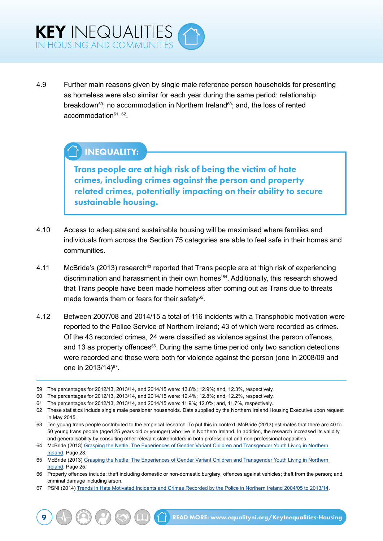4.9 Further main reasons given by single male reference person households for presenting as homeless were also similar for each year during the same period: relationship breakdown<sup>59</sup>; no accommodation in Northern Ireland<sup>60</sup>; and, the loss of rented  $account notation<sup>61, 62</sup>$ .

## INEQUALITY:

Trans people are at high risk of being the victim of hate crimes, including crimes against the person and property related crimes, potentially impacting on their ability to secure sustainable housing.

- 4.10 Access to adequate and sustainable housing will be maximised where families and individuals from across the Section 75 categories are able to feel safe in their homes and communities.
- 4.11 McBride's (2013) research<sup>63</sup> reported that Trans people are at 'high risk of experiencing discrimination and harassment in their own homes<sup>'64</sup>. Additionally, this research showed that Trans people have been made homeless after coming out as Trans due to threats made towards them or fears for their safety<sup>65</sup>.
- 4.12 Between 2007/08 and 2014/15 a total of 116 incidents with a Transphobic motivation were reported to the Police Service of Northern Ireland; 43 of which were recorded as crimes. Of the 43 recorded crimes, 24 were classified as violence against the person offences, and 13 as property offences $66$ . During the same time period only two sanction detections were recorded and these were both for violence against the person (one in 2008/09 and one in 2013/14)67.

<sup>59</sup> The percentages for 2012/13, 2013/14, and 2014/15 were: 13.8%; 12.9%; and, 12.3%, respectively.

<sup>60</sup> The percentages for 2012/13, 2013/14, and 2014/15 were: 12.4%; 12.8%; and, 12.2%, respectively.

<sup>61</sup> The percentages for 2012/13, 2013/14, and 2014/15 were: 11.9%; 12.0%; and, 11.7%, respectively.

<sup>62</sup> These statistics include single male pensioner households. Data supplied by the Northern Ireland Housing Executive upon request in May 2015.

<sup>63</sup> Ten young trans people contributed to the empirical research. To put this in context, McBride (2013) estimates that there are 40 to 50 young trans people (aged 25 years old or younger) who live in Northern Ireland. In addition, the research increased its validity and generalisability by consulting other relevant stakeholders in both professional and non-professional capacities.

<sup>64</sup> McBride (2013) [Grasping the Nettle: The Experiences of Gender Variant Children and Transgender Youth Living in Northern](https://www.ofmdfmni.gov.uk/sites/default/files/publications/ofmdfm_dev/grasping-the-nettle-transgender-youth-living-in-ni.pdf)  [Ireland](https://www.ofmdfmni.gov.uk/sites/default/files/publications/ofmdfm_dev/grasping-the-nettle-transgender-youth-living-in-ni.pdf). Page 23.

<sup>65</sup> McBride (2013) [Grasping the Nettle: The Experiences of Gender Variant Children and Transgender Youth Living in Northern](https://www.ofmdfmni.gov.uk/sites/default/files/publications/ofmdfm_dev/grasping-the-nettle-transgender-youth-living-in-ni.pdf)  [Ireland](https://www.ofmdfmni.gov.uk/sites/default/files/publications/ofmdfm_dev/grasping-the-nettle-transgender-youth-living-in-ni.pdf). Page 25.

<sup>66</sup> Property offences include: theft including domestic or non-domestic burglary; offences against vehicles; theft from the person; and, criminal damage including arson.

<sup>67</sup> PSNI (2014) [Trends in Hate Motivated Incidents and Crimes Recorded by the Police in Northern Ireland 2004/05 to 2013/14.](http://www.psni.police.uk/index/updates/updates_statistics/updates_hate_motivation_statistics.htm)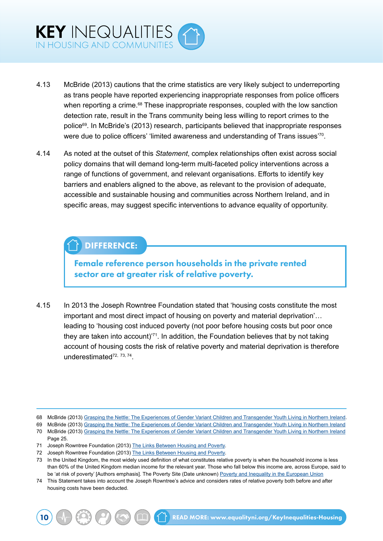- 4.13 McBride (2013) cautions that the crime statistics are very likely subject to underreporting as trans people have reported experiencing inappropriate responses from police officers when reporting a crime.<sup>68</sup> These inappropriate responses, coupled with the low sanction detection rate, result in the Trans community being less willing to report crimes to the police<sup>69</sup>. In McBride's (2013) research, participants believed that inappropriate responses were due to police officers' 'limited awareness and understanding of Trans issues'70.
- 4.14 As noted at the outset of this *Statement*, complex relationships often exist across social policy domains that will demand long-term multi-faceted policy interventions across a range of functions of government, and relevant organisations. Efforts to identify key barriers and enablers aligned to the above, as relevant to the provision of adequate, accessible and sustainable housing and communities across Northern Ireland, and in specific areas, may suggest specific interventions to advance equality of opportunity.

## DIFFERENCE:

Female reference person households in the private rented sector are at greater risk of relative poverty.

4.15 In 2013 the Joseph Rowntree Foundation stated that 'housing costs constitute the most important and most direct impact of housing on poverty and material deprivation'… leading to 'housing cost induced poverty (not poor before housing costs but poor once they are taken into account)'71. In addition, the Foundation believes that by not taking account of housing costs the risk of relative poverty and material deprivation is therefore underestimated72, 73, 74.

<sup>68</sup> McBride (2013) [Grasping the Nettle: The Experiences of Gender Variant Children and Transgender Youth Living in Northern Ireland](https://www.ofmdfmni.gov.uk/sites/default/files/publications/ofmdfm_dev/grasping-the-nettle-transgender-youth-living-in-ni.pdf).

<sup>69</sup> McBride (2013) [Grasping the Nettle: The Experiences of Gender Variant Children and Transgender Youth Living in Northern Ireland](https://www.ofmdfmni.gov.uk/sites/default/files/publications/ofmdfm_dev/grasping-the-nettle-transgender-youth-living-in-ni.pdf) 70 McBride (2013) [Grasping the Nettle: The Experiences of Gender Variant Children and Transgender Youth Living in Northern Ireland](https://www.ofmdfmni.gov.uk/sites/default/files/publications/ofmdfm_dev/grasping-the-nettle-transgender-youth-living-in-ni.pdf)

Page 25.

<sup>71</sup> Joseph Rowntree Foundation (2013) [The Links Between Housing and Poverty.](https://www.jrf.org.uk/report/links-between-housing-and-poverty)

<sup>72</sup> Joseph Rowntree Foundation (2013) [The Links Between Housing and Poverty.](https://www.jrf.org.uk/report/links-between-housing-and-poverty)

<sup>73</sup> In the United Kingdom, the most widely used definition of what constitutes relative poverty is when the household income is less than 60% of the United Kingdom median income for the relevant year. Those who fall below this income are, across Europe, said to be 'at risk of poverty' [Authors emphasis]. The Poverty Site (Date unknown) [Poverty and Inequality in the European Union](http://www.poverty.org.uk/summary/eapn.shtml)

<sup>74</sup> This Statement takes into account the Joseph Rowntree's advice and considers rates of relative poverty both before and after housing costs have been deducted.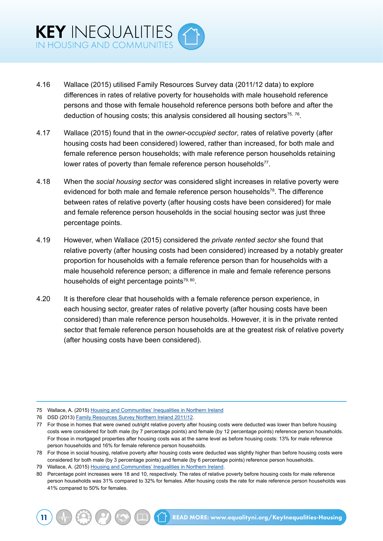- 4.16 Wallace (2015) utilised Family Resources Survey data (2011/12 data) to explore differences in rates of relative poverty for households with male household reference persons and those with female household reference persons both before and after the deduction of housing costs; this analysis considered all housing sectors $75, 76$ .
- 4.17 Wallace (2015) found that in the *owner-occupied sector*, rates of relative poverty (after housing costs had been considered) lowered, rather than increased, for both male and female reference person households; with male reference person households retaining lower rates of poverty than female reference person households<sup>77</sup>.
- 4.18 When the *social housing sector* was considered slight increases in relative poverty were evidenced for both male and female reference person households<sup>78</sup>. The difference between rates of relative poverty (after housing costs have been considered) for male and female reference person households in the social housing sector was just three percentage points.
- 4.19 However, when Wallace (2015) considered the *private rented sector* she found that relative poverty (after housing costs had been considered) increased by a notably greater proportion for households with a female reference person than for households with a male household reference person; a difference in male and female reference persons households of eight percentage points<sup>79, 80</sup>.
- 4.20 It is therefore clear that households with a female reference person experience, in each housing sector, greater rates of relative poverty (after housing costs have been considered) than male reference person households. However, it is in the private rented sector that female reference person households are at the greatest risk of relative poverty (after housing costs have been considered).

<sup>75</sup> Wallace, A. (2015) [Housing and Communities' Inequalities in Northern Ireland](http://www.equalityni.org/ECNI/media/ECNI/Publications/Delivering%20Equality/HousingInequalities-FullReport.pdf)

<sup>76</sup> DSD (2013) [Family Resources Survey Northern Ireland 2011/12.](https://www.google.co.uk/url?sa=t&rct=j&q=&esrc=s&source=web&cd=3&cad=rja&uact=8&ved=0ahUKEwiJmMTu5fnKAhWDcw8KHTNCCS4QFggvMAI&url=https%3A%2F%2Fwww.gov.uk%2Fgovernment%2Fuploads%2Fsystem%2Fuploads%2Fattachment_data%2Ffile%2F206887%2Ffrs_2011_12_report.pdf&)

<sup>77</sup> For those in homes that were owned outright relative poverty after housing costs were deducted was lower than before housing costs were considered for both male (by 7 percentage points) and female (by 12 percentage points) reference person households. For those in mortgaged properties after housing costs was at the same level as before housing costs: 13% for male reference person households and 16% for female reference person households.

<sup>78</sup> For those in social housing, relative poverty after housing costs were deducted was slightly higher than before housing costs were considered for both male (by 3 percentage points) and female (by 6 percentage points) reference person households.

<sup>79</sup> Wallace, A. (2015) [Housing and Communities' Inequalities in Northern Ireland](http://www.equalityni.org/ECNI/media/ECNI/Publications/Delivering%20Equality/HousingInequalities-FullReport.pdf).

<sup>80</sup> Percentage point increases were 18 and 10, respectively. The rates of relative poverty before housing costs for male reference person households was 31% compared to 32% for females. After housing costs the rate for male reference person households was 41% compared to 50% for females.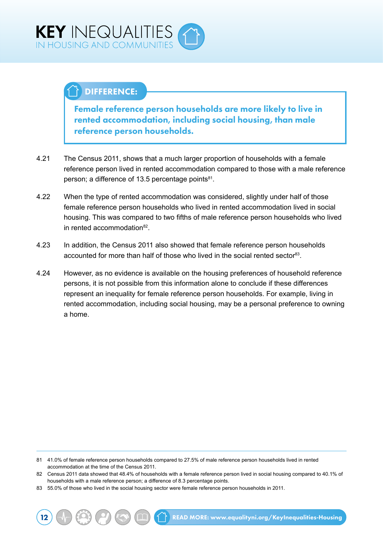## DIFFERENCE:

Female reference person households are more likely to live in rented accommodation, including social housing, than male reference person households.

- 4.21 The Census 2011, shows that a much larger proportion of households with a female reference person lived in rented accommodation compared to those with a male reference person; a difference of 13.5 percentage points $81$ .
- 4.22 When the type of rented accommodation was considered, slightly under half of those female reference person households who lived in rented accommodation lived in social housing. This was compared to two fifths of male reference person households who lived in rented accommodation82.
- 4.23 In addition, the Census 2011 also showed that female reference person households accounted for more than half of those who lived in the social rented sector<sup>83</sup>.
- 4.24 However, as no evidence is available on the housing preferences of household reference persons, it is not possible from this information alone to conclude if these differences represent an inequality for female reference person households. For example, living in rented accommodation, including social housing, may be a personal preference to owning a home.

<sup>81</sup> 41.0% of female reference person households compared to 27.5% of male reference person households lived in rented accommodation at the time of the Census 2011.

<sup>82</sup> Census 2011 data showed that 48.4% of households with a female reference person lived in social housing compared to 40.1% of households with a male reference person; a difference of 8.3 percentage points.

<sup>83</sup> 55.0% of those who lived in the social housing sector were female reference person households in 2011.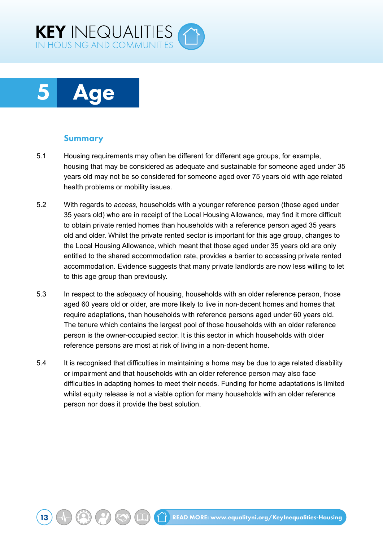<span id="page-19-0"></span>

## 5 Age

#### Summary

- 5.1 Housing requirements may often be different for different age groups, for example, housing that may be considered as adequate and sustainable for someone aged under 35 years old may not be so considered for someone aged over 75 years old with age related health problems or mobility issues.
- 5.2 With regards to *access*, households with a younger reference person (those aged under 35 years old) who are in receipt of the Local Housing Allowance, may find it more difficult to obtain private rented homes than households with a reference person aged 35 years old and older. Whilst the private rented sector is important for this age group, changes to the Local Housing Allowance, which meant that those aged under 35 years old are only entitled to the shared accommodation rate, provides a barrier to accessing private rented accommodation. Evidence suggests that many private landlords are now less willing to let to this age group than previously.
- 5.3 In respect to the *adequacy* of housing, households with an older reference person, those aged 60 years old or older, are more likely to live in non-decent homes and homes that require adaptations, than households with reference persons aged under 60 years old. The tenure which contains the largest pool of those households with an older reference person is the owner-occupied sector. It is this sector in which households with older reference persons are most at risk of living in a non-decent home.
- 5.4 It is recognised that difficulties in maintaining a home may be due to age related disability or impairment and that households with an older reference person may also face difficulties in adapting homes to meet their needs. Funding for home adaptations is limited whilst equity release is not a viable option for many households with an older reference person nor does it provide the best solution.

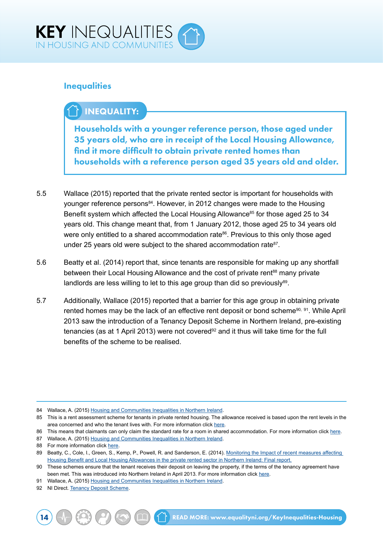

### **Inequalities**

## INEQUALITY:

Households with a younger reference person, those aged under 35 years old, who are in receipt of the Local Housing Allowance, find it more difficult to obtain private rented homes than households with a reference person aged 35 years old and older.

- 5.5 Wallace (2015) reported that the private rented sector is important for households with younger reference persons<sup>84</sup>. However, in 2012 changes were made to the Housing Benefit system which affected the Local Housing Allowance<sup>85</sup> for those aged 25 to 34 years old. This change meant that, from 1 January 2012, those aged 25 to 34 years old were only entitled to a shared accommodation rate<sup>86</sup>. Previous to this only those aged under 25 years old were subject to the shared accommodation rate<sup>87</sup>.
- 5.6 Beatty et al. (2014) report that, since tenants are responsible for making up any shortfall between their Local Housing Allowance and the cost of private rent<sup>88</sup> many private landlords are less willing to let to this age group than did so previously<sup>89</sup>.
- 5.7 Additionally, Wallace (2015) reported that a barrier for this age group in obtaining private rented homes may be the lack of an effective rent deposit or bond scheme<sup>90, 91</sup>. While April 2013 saw the introduction of a Tenancy Deposit Scheme in Northern Ireland, pre-existing tenancies (as at 1 April 2013) were not covered<sup>92</sup> and it thus will take time for the full benefits of the scheme to be realised.

87 Wallace, A. (2015) [Housing and Communities Inequalities in Northern Ireland.](http://www.equalityni.org/ECNI/media/ECNI/Publications/Delivering%20Equality/HousingInequalities-FullReport.pdf)

- 91 Wallace, A. (2015) [Housing and Communities Inequalities in Northern Ireland.](http://www.equalityni.org/ECNI/media/ECNI/Publications/Delivering%20Equality/HousingInequalities-FullReport.pdf)
- 92 NI Direct. [Tenancy Deposit Scheme.](https://www.nidirect.gov.uk/information-and-services/private-renting/tenancy-deposit-scheme)

<sup>84</sup> Wallace, A. (2015) [Housing and Communities Inequalities in Northern Ireland.](http://www.equalityni.org/ECNI/media/ECNI/Publications/Delivering%20Equality/HousingInequalities-FullReport.pdf)

<sup>85</sup> This is a rent assessment scheme for tenants in private rented housing. The allowance received is based upon the rent levels in the area concerned and who the tenant lives with. For more information click [here.](http://www.nihe.gov.uk/index/benefits/lha.htm)

<sup>86</sup> This means that claimants can only claim the standard rate for a room in shared accommodation. For more information click [here](http://www.nihe.gov.uk/index/benefits/lha.htm).

<sup>88</sup> For more information click [here.](http://www.nihe.gov.uk/index/benefits/lha.htm)

<sup>89</sup> Beatty, C., Cole, I., Green, S., Kemp, P., Powell, R. and Sanderson, E. (2014). Monitoring the Impact of recent measures affecting [Housing Benefit and Local Housing Allowances in the private rented sector in Northern Ireland: Final report.](https://www.google.co.uk/url?sa=t&rct=j&q=&esrc=s&source=web&cd=1&ved=0ahUKEwj3otOW1_nKAhUDZQ8KHfltB6MQFggjMAA&url=https%3A%2F%2Fwww.shu.ac.uk%2Fresearch%2Fcresr%2Fsites%2Fshu.ac.uk%2Ffiles%2FNI-LHA-final-report.pdf&usg=AFQjCNGt6PH3B1DtaEuXC1nnJ9d8ykhn3g&b)

<sup>90</sup> These schemes ensure that the tenant receives their deposit on leaving the property, if the terms of the tenancy agreement have been met. This was introduced into Northern Ireland in April 2013. For more information click [here.](http://www.nihe.gov.uk/index/advice/renting_privately/advice_tenants/tenancy_deposit_scheme.htm)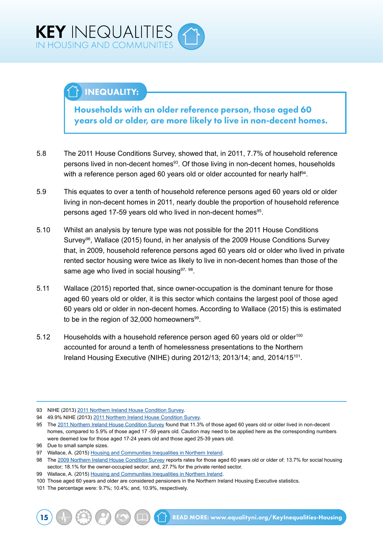## INEQUALITY:

Households with an older reference person, those aged 60 years old or older, are more likely to live in non-decent homes.

- 5.8 The 2011 House Conditions Survey, showed that, in 2011, 7.7% of household reference persons lived in non-decent homes<sup>93</sup>. Of those living in non-decent homes, households with a reference person aged 60 years old or older accounted for nearly half<sup>94</sup>.
- 5.9 This equates to over a tenth of household reference persons aged 60 years old or older living in non-decent homes in 2011, nearly double the proportion of household reference persons aged 17-59 years old who lived in non-decent homes<sup>95</sup>.
- 5.10 Whilst an analysis by tenure type was not possible for the 2011 House Conditions Survey<sup>96</sup>, Wallace (2015) found, in her analysis of the 2009 House Conditions Survey that, in 2009, household reference persons aged 60 years old or older who lived in private rented sector housing were twice as likely to live in non-decent homes than those of the same age who lived in social housing<sup>97, 98</sup>.
- 5.11 Wallace (2015) reported that, since owner-occupation is the dominant tenure for those aged 60 years old or older, it is this sector which contains the largest pool of those aged 60 years old or older in non-decent homes. According to Wallace (2015) this is estimated to be in the region of 32,000 homeowners<sup>99</sup>.
- 5.12 Households with a household reference person aged 60 years old or older100 accounted for around a tenth of homelessness presentations to the Northern Ireland Housing Executive (NIHE) during 2012/13; 2013/14; and, 2014/15101.

<sup>93</sup> NIHE (2013) [2011 Northern Ireland House Condition Survey.](http://www.nihe.gov.uk/index/corporate/housing_research/house_condition_survey.htm)

<sup>94</sup> 49.9% NIHE (2013) [2011 Northern Ireland House Condition Survey](http://www.nihe.gov.uk/index/corporate/housing_research/house_condition_survey.htm).

<sup>95</sup> The [2011 Northern Ireland House Condition Survey](http://www.nihe.gov.uk/index/corporate/housing_research/house_condition_survey.htm) found that 11.3% of those aged 60 years old or older lived in non-decent homes, compared to 5.9% of those aged 17 -59 years old. Caution may need to be applied here as the corresponding numbers were deemed low for those aged 17-24 years old and those aged 25-39 years old.

<sup>96</sup> Due to small sample sizes.

<sup>97</sup> Wallace, A. (2015) [Housing and Communities Inequalities in Northern Ireland.](http://www.equalityni.org/ECNI/media/ECNI/Publications/Delivering%20Equality/HousingInequalities-FullReport.pdf)

<sup>98</sup> The [2009 Northern Ireland House Condition Survey](http://www.nihe.gov.uk/index/sp_home/research-2/house_condition_survey.htm) reports rates for those aged 60 years old or older of: 13.7% for social housing sector; 18.1% for the owner-occupied sector; and, 27.7% for the private rented sector.

<sup>99</sup> Wallace, A. (2015) [Housing and Communities Inequalities in Northern Ireland.](http://www.equalityni.org/ECNI/media/ECNI/Publications/Delivering%20Equality/HousingInequalities-FullReport.pdf)

<sup>100</sup> Those aged 60 years and older are considered pensioners in the Northern Ireland Housing Executive statistics.

<sup>101</sup> The percentage were: 9.7%; 10.4%; and, 10.9%, respectively.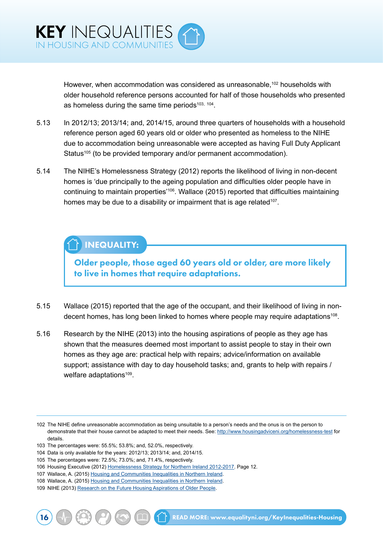

However, when accommodation was considered as unreasonable,<sup>102</sup> households with older household reference persons accounted for half of those households who presented as homeless during the same time periods $103, 104$ .

- 5.13 In 2012/13; 2013/14; and, 2014/15, around three quarters of households with a household reference person aged 60 years old or older who presented as homeless to the NIHE due to accommodation being unreasonable were accepted as having Full Duty Applicant Status<sup>105</sup> (to be provided temporary and/or permanent accommodation).
- 5.14 The NIHE's Homelessness Strategy (2012) reports the likelihood of living in non-decent homes is 'due principally to the ageing population and difficulties older people have in continuing to maintain properties'106. Wallace (2015) reported that difficulties maintaining homes may be due to a disability or impairment that is age related<sup>107</sup>.

## INEQUALITY:

Older people, those aged 60 years old or older, are more likely to live in homes that require adaptations.

- 5.15 Wallace (2015) reported that the age of the occupant, and their likelihood of living in nondecent homes, has long been linked to homes where people may require adaptations<sup>108</sup>.
- 5.16 Research by the NIHE (2013) into the housing aspirations of people as they age has shown that the measures deemed most important to assist people to stay in their own homes as they age are: practical help with repairs; advice/information on available support; assistance with day to day household tasks; and, grants to help with repairs / welfare adaptations<sup>109</sup>.

<sup>102</sup> The NIHE define unreasonable accommodation as being unsuitable to a person's needs and the onus is on the person to demonstrate that their house cannot be adapted to meet their needs. See: <http://www.housingadviceni.org/homelessness-test> for details.

<sup>103</sup> The percentages were: 55.5%; 53.8%; and, 52.0%, respectively.

<sup>104</sup> Data is only available for the years: 2012/13; 2013/14; and, 2014/15.

<sup>105</sup> The percentages were: 72.5%; 73.0%; and, 71.4%, respectively.

<sup>106</sup> Housing Executive (2012) [Homelessness Strategy for Northern Ireland 2012-2017](http://www.nihe.gov.uk/homelessness_strategy_for_northern_ireland_2012-2017.pdf). Page 12.

<sup>107</sup> Wallace, A. (2015) [Housing and Communities Inequalities in Northern Ireland.](http://www.equalityni.org/ECNI/media/ECNI/Publications/Delivering%20Equality/HousingInequalities-FullReport.pdf)

<sup>108</sup> Wallace, A. (2015) [Housing and Communities Inequalities in Northern Ireland.](http://www.equalityni.org/ECNI/media/ECNI/Publications/Delivering%20Equality/HousingInequalities-FullReport.pdf)

<sup>109</sup> NIHE (2013) [Research on the Future Housing Aspirations of Older People](http://www.nihe.gov.uk/research_on_the_future_housing_aspirations_of_older_people.pdf).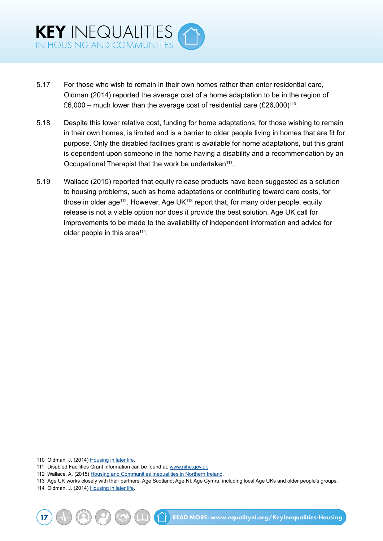- 5.17 For those who wish to remain in their own homes rather than enter residential care, Oldman (2014) reported the average cost of a home adaptation to be in the region of £6,000 – much lower than the average cost of residential care  $(E26,000)^{110}$ .
- 5.18 Despite this lower relative cost, funding for home adaptations, for those wishing to remain in their own homes, is limited and is a barrier to older people living in homes that are fit for purpose. Only the disabled facilities grant is available for home adaptations, but this grant is dependent upon someone in the home having a disability and a recommendation by an Occupational Therapist that the work be undertaken<sup>111</sup>.
- 5.19 Wallace (2015) reported that equity release products have been suggested as a solution to housing problems, such as home adaptations or contributing toward care costs, for those in older age<sup>112</sup>. However, Age UK $113$  report that, for many older people, equity release is not a viable option nor does it provide the best solution. Age UK call for improvements to be made to the availability of independent information and advice for older people in this area<sup>114</sup>.

110 Oldman, J. (2014) [Housing in later life.](http://www.ageuk.org.uk/documents/en-gb/for-professionals/policy/housing%20later%20life%20report.pdf)

114 Oldman, J. (2014) [Housing in later life.](http://www.ageuk.org.uk/documents/en-gb/for-professionals/policy/housing%20later%20life%20report.pdf)

<sup>111</sup> Disabled Facilities Grant information can be found at: [www.nihe.gov.uk](http://www.nihe.gov.uk)

<sup>112</sup> Wallace, A. (2015) [Housing and Communities Inequalities in Northern Ireland.](http://www.equalityni.org/ECNI/media/ECNI/Publications/Delivering%20Equality/HousingInequalities-FullReport.pdf)

<sup>113</sup> Age UK works closely with their partners: Age Scotland; Age NI; Age Cymru; including local Age UKs and older people's groups.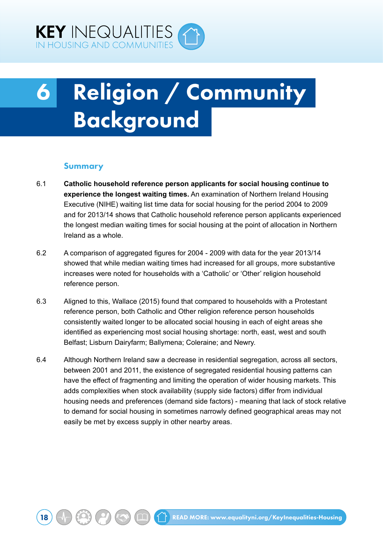<span id="page-24-0"></span>

# 6 Religion / Community Background

#### Summary

- 6.1 **Catholic household reference person applicants for social housing continue to experience the longest waiting times.** An examination of Northern Ireland Housing Executive (NIHE) waiting list time data for social housing for the period 2004 to 2009 and for 2013/14 shows that Catholic household reference person applicants experienced the longest median waiting times for social housing at the point of allocation in Northern Ireland as a whole.
- 6.2 A comparison of aggregated figures for 2004 2009 with data for the year 2013/14 showed that while median waiting times had increased for all groups, more substantive increases were noted for households with a 'Catholic' or 'Other' religion household reference person.
- 6.3 Aligned to this, Wallace (2015) found that compared to households with a Protestant reference person, both Catholic and Other religion reference person households consistently waited longer to be allocated social housing in each of eight areas she identified as experiencing most social housing shortage: north, east, west and south Belfast; Lisburn Dairyfarm; Ballymena; Coleraine; and Newry.
- 6.4 Although Northern Ireland saw a decrease in residential segregation, across all sectors, between 2001 and 2011, the existence of segregated residential housing patterns can have the effect of fragmenting and limiting the operation of wider housing markets. This adds complexities when stock availability (supply side factors) differ from individual housing needs and preferences (demand side factors) - meaning that lack of stock relative to demand for social housing in sometimes narrowly defined geographical areas may not easily be met by excess supply in other nearby areas.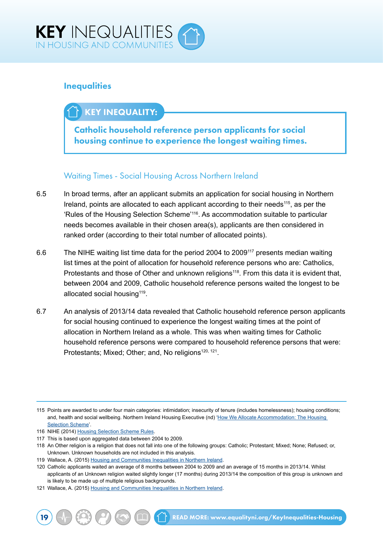

### **Inequalities**

### KEY INEQUALITY:

Catholic household reference person applicants for social housing continue to experience the longest waiting times.

### Waiting Times - Social Housing Across Northern Ireland

- 6.5 In broad terms, after an applicant submits an application for social housing in Northern Ireland, points are allocated to each applicant according to their needs<sup>115</sup>, as per the 'Rules of the Housing Selection Scheme'116. As accommodation suitable to particular needs becomes available in their chosen area(s), applicants are then considered in ranked order (according to their total number of allocated points).
- 6.6 The NIHE waiting list time data for the period 2004 to 2009117 presents median waiting list times at the point of allocation for household reference persons who are: Catholics, Protestants and those of Other and unknown religions<sup>118</sup>. From this data it is evident that, between 2004 and 2009, Catholic household reference persons waited the longest to be allocated social housing<sup>119</sup>.
- 6.7 An analysis of 2013/14 data revealed that Catholic household reference person applicants for social housing continued to experience the longest waiting times at the point of allocation in Northern Ireland as a whole. This was when waiting times for Catholic household reference persons were compared to household reference persons that were: Protestants; Mixed; Other; and, No religions<sup>120, 121</sup>.

119 Wallace, A. (2015) [Housing and Communities Inequalities in Northern Ireland.](http://www.equalityni.org/ECNI/media/ECNI/Publications/Delivering%20Equality/HousingInequalities-FullReport.pdf)

<sup>115</sup> Points are awarded to under four main categories: intimidation; insecurity of tenure (includes homelessness); housing conditions; and, health and social wellbeing. Northern Ireland Housing Executive (nd) 'How We Allocate Accommodation: The Housing [Selection Scheme](http://www.nihe.gov.uk/index/advice/apply_for_a_home/housing_selection_scheme.htm)'.

<sup>116</sup> NIHE (2014) [Housing Selection Scheme Rules](https://www.google.co.uk/url?sa=t&rct=j&q=&esrc=s&source=web&cd=1&cad=rja&uact=8&sqi=2&ved=0ahUKEwjw3eD8vNrPAhUFBMAKHeKGDSEQFggcMAA&url=http%3A%2F%2Fwww.nihe.gov.uk%2Fhousing_selection_scheme_rules.pdf&usg=AFQjCNEGwhTGBA8PtR-ZrXXhkTUzSPgZDQ&bvm=bv.135475266,d.d24).

<sup>117</sup> This is based upon aggregated data between 2004 to 2009.

<sup>118</sup> An Other religion is a religion that does not fall into one of the following groups: Catholic; Protestant; Mixed; None; Refused; or, Unknown. Unknown households are not included in this analysis.

<sup>120</sup> Catholic applicants waited an average of 8 months between 2004 to 2009 and an average of 15 months in 2013/14. Whilst applicants of an Unknown religion waited slightly longer (17 months) during 2013/14 the composition of this group is unknown and is likely to be made up of multiple religious backgrounds.

<sup>121</sup> Wallace, A. (2015) [Housing and Communities Inequalities in Northern Ireland.](http://www.equalityni.org/ECNI/media/ECNI/Publications/Delivering%20Equality/HousingInequalities-FullReport.pdf)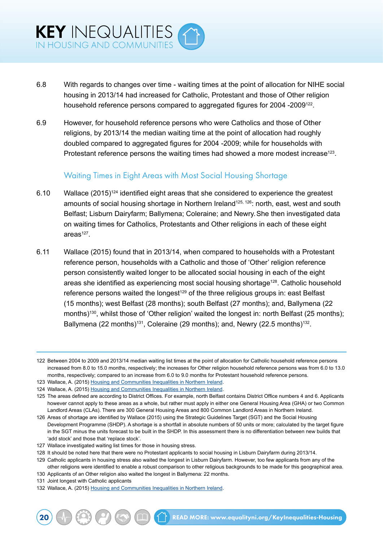- 6.8 With regards to changes over time waiting times at the point of allocation for NIHE social housing in 2013/14 had increased for Catholic, Protestant and those of Other religion household reference persons compared to aggregated figures for 2004 -2009<sup>122</sup>.
- 6.9 However, for household reference persons who were Catholics and those of Other religions, by 2013/14 the median waiting time at the point of allocation had roughly doubled compared to aggregated figures for 2004 -2009; while for households with Protestant reference persons the waiting times had showed a more modest increase<sup>123</sup>.

#### Waiting Times in Eight Areas with Most Social Housing Shortage

- 6.10 Wallace (2015)124 identified eight areas that she considered to experience the greatest amounts of social housing shortage in Northern Ireland<sup>125, 126</sup>: north, east, west and south Belfast; Lisburn Dairyfarm; Ballymena; Coleraine; and Newry.She then investigated data on waiting times for Catholics, Protestants and Other religions in each of these eight  $area<sup>127</sup>$ .
- 6.11 Wallace (2015) found that in 2013/14, when compared to households with a Protestant reference person, households with a Catholic and those of 'Other' religion reference person consistently waited longer to be allocated social housing in each of the eight areas she identified as experiencing most social housing shortage<sup>128</sup>. Catholic household reference persons waited the longest<sup>129</sup> of the three religious groups in: east Belfast (15 months); west Belfast (28 months); south Belfast (27 months); and, Ballymena (22 months)<sup>130</sup>, whilst those of 'Other religion' waited the longest in: north Belfast (25 months): Ballymena (22 months)<sup>131</sup>, Coleraine (29 months); and, Newry (22.5 months)<sup>132</sup>.

- 127 Wallace investigated waiting list times for those in housing stress.
- 128 It should be noted here that there were no Protestant applicants to social housing in Lisburn Dairyfarm during 2013/14.

- 130 Applicants of an Other religion also waited the longest in Ballymena: 22 months.
- 131 Joint longest with Catholic applicants

<sup>122</sup> Between 2004 to 2009 and 2013/14 median waiting list times at the point of allocation for Catholic household reference persons increased from 8.0 to 15.0 months, respectively; the increases for Other religion household reference persons was from 6.0 to 13.0 months, respectively; compared to an increase from 6.0 to 9.0 months for Protestant household reference persons.

<sup>123</sup> Wallace, A. (2015) [Housing and Communities Inequalities in Northern Ireland.](http://www.equalityni.org/ECNI/media/ECNI/Publications/Delivering%20Equality/HousingInequalities-FullReport.pdf)

<sup>124</sup> Wallace, A. (2015) [Housing and Communities Inequalities in Northern Ireland.](http://www.equalityni.org/ECNI/media/ECNI/Publications/Delivering%20Equality/HousingInequalities-FullReport.pdf)

<sup>125</sup> The areas defined are according to District Offices. For example, north Belfast contains District Office numbers 4 and 6. Applicants however cannot apply to these areas as a whole, but rather must apply in either one General Housing Area (GHA) or two Common Landlord Areas (CLAs). There are 300 General Housing Areas and 800 Common Landlord Areas in Northern Ireland.

<sup>126</sup> Areas of shortage are identified by Wallace (2015) using the Strategic Guidelines Target (SGT) and the Social Housing Development Programme (SHDP). A shortage is a shortfall in absolute numbers of 50 units or more; calculated by the target figure in the SGT minus the units forecast to be built in the SHDP. In this assessment there is no differentiation between new builds that 'add stock' and those that 'replace stock'.

<sup>129</sup> Catholic applicants in housing stress also waited the longest in Lisburn Dairyfarm. However, too few applicants from any of the other religions were identified to enable a robust comparison to other religious backgrounds to be made for this geographical area.

<sup>132</sup> Wallace, A. (2015) [Housing and Communities Inequalities in Northern Ireland.](http://www.equalityni.org/ECNI/media/ECNI/Publications/Delivering%20Equality/HousingInequalities-FullReport.pdf)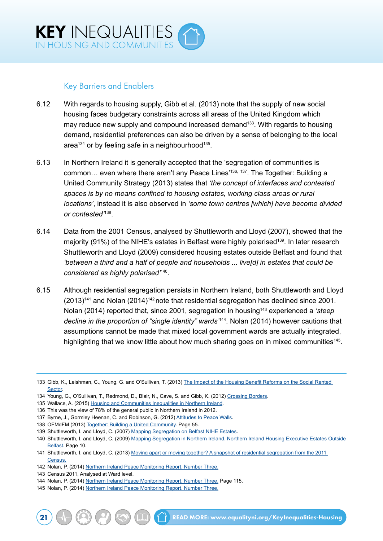

#### Key Barriers and Enablers

- 6.12 With regards to housing supply, Gibb et al. (2013) note that the supply of new social housing faces budgetary constraints across all areas of the United Kingdom which may reduce new supply and compound increased demand<sup>133</sup>. With regards to housing demand, residential preferences can also be driven by a sense of belonging to the local area<sup>134</sup> or by feeling safe in a neighbourhood<sup>135</sup>.
- 6.13 In Northern Ireland it is generally accepted that the 'segregation of communities is common… even where there aren't any Peace Lines'136, <sup>137</sup>. The Together: Building a United Community Strategy (2013) states that *'the concept of interfaces and contested spaces is by no means confined to housing estates, working class areas or rural locations'*, instead it is also observed in *'some town centres [which] have become divided or contested'*138.
- 6.14 Data from the 2001 Census, analysed by Shuttleworth and Lloyd (2007), showed that the majority (91%) of the NIHE's estates in Belfast were highly polarised<sup>139</sup>. In later research Shuttleworth and Lloyd (2009) considered housing estates outside Belfast and found that *'between a third and a half of people and households ... live[d] in estates that could be considered as highly polarised'*140.
- 6.15 Although residential segregation persists in Northern Ireland, both Shuttleworth and Lloyd  $(2013)^{141}$  and Nolan  $(2014)^{142}$  note that residential segregation has declined since 2001. Nolan (2014) reported that, since 2001, segregation in housing<sup>143</sup> experienced a 'steep *decline in the proportion of "single identity" wards'*144. Nolan (2014) however cautions that assumptions cannot be made that mixed local government wards are actually integrated, highlighting that we know little about how much sharing goes on in mixed communities<sup>145</sup>.

<sup>133</sup> Gibb, K., Leishman, C., Young, G. and O'Sullivan, T. (2013) [The Impact of the Housing Benefit Reforms on the Social Rented](http://www.dsdni.gov.uk/hb_report_draft_final_3_july_changes_accepted.pdf)  **[Sector](http://www.dsdni.gov.uk/hb_report_draft_final_3_july_changes_accepted.pdf)** 

<sup>134</sup> Young, G., O'Sullivan, T., Redmond, D., Blair, N., Cave, S. and Gibb, K. (2012) [Crossing Borders](http://www.nihe.gov.uk/crossing_borders.pdf).

<sup>135</sup> Wallace, A. (2015) [Housing and Communities Inequalities in Northern Ireland.](http://www.equalityni.org/ECNI/media/ECNI/Publications/Delivering%20Equality/HousingInequalities-FullReport.pdf)

<sup>136</sup> This was the view of 78% of the general public in Northern Ireland in 2012.

<sup>137</sup> Byrne, J., Gormley Heenan, C. and Robinson, G. (2012) [Attitudes to Peace Walls.](http://www.ark.ac.uk/peacewalls2012/peacewalls2012.pdf)

<sup>138</sup> OFMdFM (2013) [Together: Building a United Community](https://www.executiveoffice-ni.gov.uk/publications/together-building-united-community-strategy). Page 55.

<sup>139</sup> Shuttleworth, I. and Lloyd, C. (2007) [Mapping Segregation on Belfast NIHE Estates](http://www.nihe.gov.uk/mapping_segregation_final_report.pdf).

<sup>140</sup> Shuttleworth, I. and Lloyd, C. (2009) [Mapping Segregation in Northern Ireland. Northern Ireland Housing Executive Estates Outside](http://www.nihe.gov.uk/mapping_segregation_in_northern_ireland_-_northern_ireland_housing_executive_estates_outside_belfast.pdf)  [Belfast](http://www.nihe.gov.uk/mapping_segregation_in_northern_ireland_-_northern_ireland_housing_executive_estates_outside_belfast.pdf). Page 10.

<sup>141</sup> Shuttleworth, I. and Lloyd, C. (2013) [Moving apart or moving together? A snapshot of residential segregation from the 2011](http://www.community-relations.org.uk/wp-content/uploads/2013/11/16CRC-Shared-Space-Section-4.pdf)  [Census.](http://www.community-relations.org.uk/wp-content/uploads/2013/11/16CRC-Shared-Space-Section-4.pdf)

<sup>142</sup> Nolan, P. (2014) [Northern Ireland Peace Monitoring Report. Number Three.](http://www.community-relations.org.uk/programmes/peace-monitoring/)

<sup>143</sup> Census 2011, Analysed at Ward level.

<sup>144</sup> Nolan, P. (2014) [Northern Ireland Peace Monitoring Report. Number Three.](http://www.community-relations.org.uk/programmes/peace-monitoring/) Page 115.

<sup>145</sup> Nolan, P. (2014) [Northern Ireland Peace Monitoring Report. Number Three.](http://www.community-relations.org.uk/programmes/peace-monitoring/)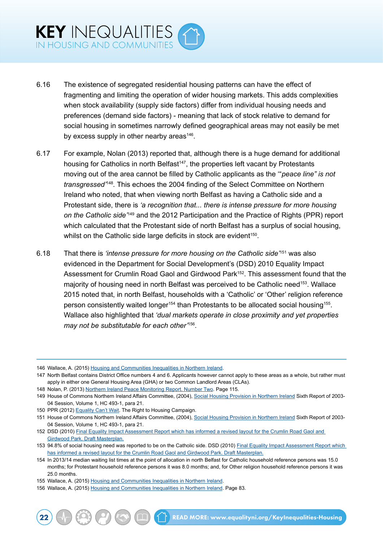- 6.16 The existence of segregated residential housing patterns can have the effect of fragmenting and limiting the operation of wider housing markets. This adds complexities when stock availability (supply side factors) differ from individual housing needs and preferences (demand side factors) - meaning that lack of stock relative to demand for social housing in sometimes narrowly defined geographical areas may not easily be met by excess supply in other nearby areas<sup>146</sup>.
- 6.17 For example, Nolan (2013) reported that, although there is a huge demand for additional housing for Catholics in north Belfast<sup>147</sup>, the properties left vacant by Protestants moving out of the area cannot be filled by Catholic applicants as the '"*peace line" is not transgressed'*<sup>148</sup>*.* This echoes the 2004 finding of the Select Committee on Northern Ireland who noted, that when viewing north Belfast as having a Catholic side and a Protestant side, there is *'a recognition that... there is intense pressure for more housing on the Catholic side'*149 and the 2012 Participation and the Practice of Rights (PPR) report which calculated that the Protestant side of north Belfast has a surplus of social housing, whilst on the Catholic side large deficits in stock are evident<sup>150</sup>.
- 6.18 That there is *'intense pressure for more housing on the Catholic side'*151 was also evidenced in the Department for Social Development's (DSD) 2010 Equality Impact Assessment for Crumlin Road Gaol and Girdwood Park<sup>152</sup>. This assessment found that the majority of housing need in north Belfast was perceived to be Catholic need<sup>153</sup>. Wallace 2015 noted that, in north Belfast, households with a 'Catholic' or 'Other' religion reference person consistently waited longer<sup>154</sup> than Protestants to be allocated social housing<sup>155</sup>. Wallace also highlighted that *'dual markets operate in close proximity and yet properties may not be substitutable for each other'*156.

148 Nolan, P. (2013) [Northern Ireland Peace Monitoring Report. Number Two](http://www.community-relations.org.uk/programmes/peace-monitoring/). Page 115.

<sup>146</sup> Wallace, A. (2015) [Housing and Communities Inequalities in Northern Ireland.](http://www.equalityni.org/ECNI/media/ECNI/Publications/Delivering%20Equality/HousingInequalities-FullReport.pdf)

<sup>147</sup> North Belfast contains District Office numbers 4 and 6. Applicants however cannot apply to these areas as a whole, but rather must apply in either one General Housing Area (GHA) or two Common Landlord Areas (CLAs).

<sup>149</sup> House of Commons Northern Ireland Affairs Committee, (2004), [Social Housing Provision in Northern Ireland](http://www.publications.parliament.uk/pa/cm200304/cmselect/cmniaf/493/49305.htm) Sixth Report of 2003- 04 Session, Volume 1, HC 493-1, para 21.

<sup>150</sup> PPR (2012) [Equality Can't Wait](http://pprproject.org/sites/default/files/Equality%20Can). The Right to Housing Campaign.

<sup>151</sup> House of Commons Northern Ireland Affairs Committee, (2004), [Social Housing Provision in Northern Ireland](http://www.publications.parliament.uk/pa/cm200304/cmselect/cmniaf/493/49305.htm) Sixth Report of 2003- 04 Session, Volume 1, HC 493-1, para 21.

<sup>152</sup> DSD (2010) [Final Equality Impact Assessment Report which has informed a revised layout for the Crumlin Road Gaol and](https://www.communities-ni.gov.uk/sites/default/files/publications/dsd/brd-girdwood-park-draft-masterplan-final-eqia.docx)  [Girdwood Park. Draft Masterplan.](https://www.communities-ni.gov.uk/sites/default/files/publications/dsd/brd-girdwood-park-draft-masterplan-final-eqia.docx)

<sup>153 94.8%</sup> of social housing need was reported to be on the Catholic side. DSD (2010) Final Equality Impact Assessment Report which [has informed a revised layout for the Crumlin Road Gaol and Girdwood Park. Draft Masterplan.](https://www.communities-ni.gov.uk/sites/default/files/publications/dsd/brd-girdwood-park-draft-masterplan-final-eqia.docx)

<sup>154</sup> In 2013/14 median waiting list times at the point of allocation in north Belfast for Catholic household reference persons was 15.0 months; for Protestant household reference persons it was 8.0 months; and, for Other religion household reference persons it was 25.0 months.

<sup>155</sup> Wallace, A. (2015) [Housing and Communities Inequalities in Northern Ireland.](http://www.equalityni.org/ECNI/media/ECNI/Publications/Delivering%20Equality/HousingInequalities-FullReport.pdf)

<sup>156</sup> Wallace, A. (2015) [Housing and Communities Inequalities in Northern Ireland.](http://www.equalityni.org/ECNI/media/ECNI/Publications/Delivering%20Equality/HousingInequalities-FullReport.pdf) Page 83.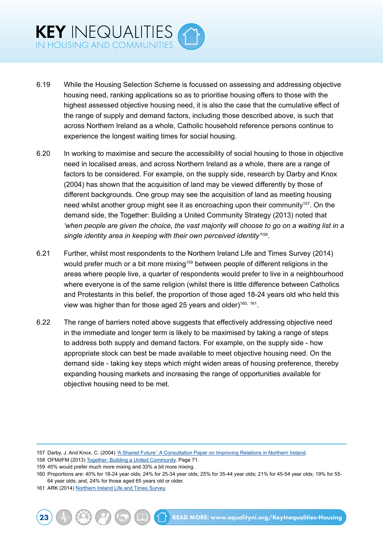- 6.19 While the Housing Selection Scheme is focussed on assessing and addressing objective housing need, ranking applications so as to prioritise housing offers to those with the highest assessed objective housing need, it is also the case that the cumulative effect of the range of supply and demand factors, including those described above, is such that across Northern Ireland as a whole, Catholic household reference persons continue to experience the longest waiting times for social housing.
- 6.20 In working to maximise and secure the accessibility of social housing to those in objective need in localised areas, and across Northern Ireland as a whole, there are a range of factors to be considered. For example, on the supply side, research by Darby and Knox (2004) has shown that the acquisition of land may be viewed differently by those of different backgrounds. One group may see the acquisition of land as meeting housing need whilst another group might see it as encroaching upon their community<sup>157</sup>. On the demand side, the Together: Building a United Community Strategy (2013) noted that *'when people are given the choice, the vast majority will choose to go on a waiting list in a single identity area in keeping with their own perceived identity'*158.
- 6.21 Further, whilst most respondents to the Northern Ireland Life and Times Survey (2014) would prefer much or a bit more mixing<sup>159</sup> between people of different religions in the areas where people live, a quarter of respondents would prefer to live in a neighbourhood where everyone is of the same religion (whilst there is little difference between Catholics and Protestants in this belief, the proportion of those aged 18-24 years old who held this view was higher than for those aged 25 years and older)<sup>160, 161</sup>.
- 6.22 The range of barriers noted above suggests that effectively addressing objective need in the immediate and longer term is likely to be maximised by taking a range of steps to address both supply and demand factors. For example, on the supply side - how appropriate stock can best be made available to meet objective housing need. On the demand side - taking key steps which might widen areas of housing preference, thereby expanding housing markets and increasing the range of opportunities available for objective housing need to be met.

<sup>157</sup> Darby, J. And Knox, C. (2004) ['A Shared Future': A Consultation Paper on Improving Relations in Northern Ireland](http://cain.ulst.ac.uk/issues/community/sharedfuture/darbyknox210104.pdf).

<sup>158</sup> OFMdFM (2013) [Together: Building a United Community](https://www.executiveoffice-ni.gov.uk/publications/together-building-united-community-strategy). Page 71.

<sup>159</sup> 45% would prefer much more mixing and 33% a bit more mixing.

<sup>160</sup> Proportions are: 40% for 18-24 year olds; 24% for 25-34 year olds; 25% for 35-44 year olds; 21% for 45-54 year olds; 19% for 55- 64 year olds; and, 24% for those aged 65 years old or older.

<sup>161</sup> ARK (2014) [Northern Ireland Life and Times Survey](http://www.ark.ac.uk/nilt/2014/index.html).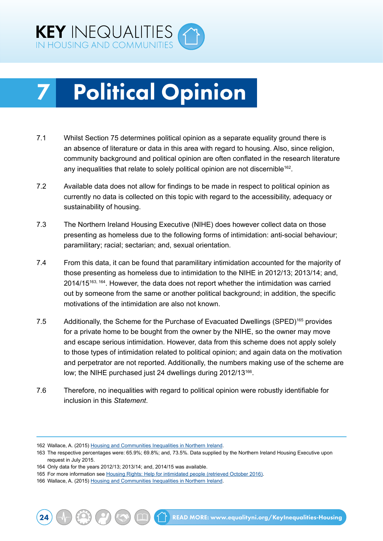<span id="page-30-0"></span>

## **Political Opinion**

- 7.1 Whilst Section 75 determines political opinion as a separate equality ground there is an absence of literature or data in this area with regard to housing. Also, since religion, community background and political opinion are often conflated in the research literature any inequalities that relate to solely political opinion are not discernible<sup>162</sup>.
- 7.2 Available data does not allow for findings to be made in respect to political opinion as currently no data is collected on this topic with regard to the accessibility, adequacy or sustainability of housing.
- 7.3 The Northern Ireland Housing Executive (NIHE) does however collect data on those presenting as homeless due to the following forms of intimidation: anti-social behaviour; paramilitary; racial; sectarian; and, sexual orientation.
- 7.4 From this data, it can be found that paramilitary intimidation accounted for the majority of those presenting as homeless due to intimidation to the NIHE in 2012/13; 2013/14; and, 2014/15<sup>163, 164</sup>. However, the data does not report whether the intimidation was carried out by someone from the same or another political background; in addition, the specific motivations of the intimidation are also not known.
- 7.5 Additionally, the Scheme for the Purchase of Evacuated Dwellings (SPED)165 provides for a private home to be bought from the owner by the NIHE, so the owner may move and escape serious intimidation. However, data from this scheme does not apply solely to those types of intimidation related to political opinion; and again data on the motivation and perpetrator are not reported. Additionally, the numbers making use of the scheme are low; the NIHE purchased just 24 dwellings during 2012/13<sup>166</sup>.
- 7.6 Therefore, no inequalities with regard to political opinion were robustly identifiable for inclusion in this *Statement*.

<sup>162</sup> Wallace, A. (2015) [Housing and Communities Inequalities in Northern Ireland.](http://www.equalityni.org/ECNI/media/ECNI/Publications/Delivering%20Equality/HousingInequalities-FullReport.pdf)

<sup>163</sup> The respective percentages were: 65.9%; 69.8%; and, 73.5%. Data supplied by the Northern Ireland Housing Executive upon request in July 2015.

<sup>164</sup> Only data for the years 2012/13; 2013/14; and, 2014/15 was available.

<sup>165</sup> For more information see [Housing Rights: Help for intimidated people \(retrieved October 2016\)](http://www.housingadviceni.org/neighbourhood-issues/help-intimidated-people).

<sup>166</sup> Wallace, A. (2015) [Housing and Communities Inequalities in Northern Ireland.](http://www.equalityni.org/ECNI/media/ECNI/Publications/Delivering%20Equality/HousingInequalities-FullReport.pdf)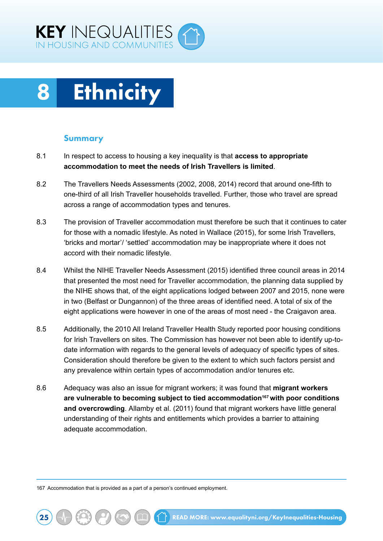<span id="page-31-0"></span>



#### Summary

- 8.1 In respect to access to housing a key inequality is that **access to appropriate accommodation to meet the needs of Irish Travellers is limited**.
- 8.2 The Travellers Needs Assessments (2002, 2008, 2014) record that around one-fifth to one-third of all Irish Traveller households travelled. Further, those who travel are spread across a range of accommodation types and tenures.
- 8.3 The provision of Traveller accommodation must therefore be such that it continues to cater for those with a nomadic lifestyle. As noted in Wallace (2015), for some Irish Travellers, 'bricks and mortar'/ 'settled' accommodation may be inappropriate where it does not accord with their nomadic lifestyle.
- 8.4 Whilst the NIHE Traveller Needs Assessment (2015) identified three council areas in 2014 that presented the most need for Traveller accommodation, the planning data supplied by the NIHE shows that, of the eight applications lodged between 2007 and 2015, none were in two (Belfast or Dungannon) of the three areas of identified need. A total of six of the eight applications were however in one of the areas of most need - the Craigavon area.
- 8.5 Additionally, the 2010 All Ireland Traveller Health Study reported poor housing conditions for Irish Travellers on sites. The Commission has however not been able to identify up-todate information with regards to the general levels of adequacy of specific types of sites. Consideration should therefore be given to the extent to which such factors persist and any prevalence within certain types of accommodation and/or tenures etc.
- 8.6 Adequacy was also an issue for migrant workers; it was found that **migrant workers are vulnerable to becoming subject to tied accommodation167 with poor conditions and overcrowding**. Allamby et al. (2011) found that migrant workers have little general understanding of their rights and entitlements which provides a barrier to attaining adequate accommodation.

167 Accommodation that is provided as a part of a person's continued employment.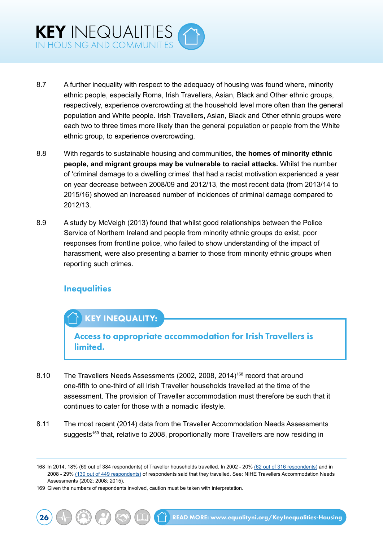

- 8.7 A further inequality with respect to the adequacy of housing was found where, minority ethnic people, especially Roma, Irish Travellers, Asian, Black and Other ethnic groups, respectively, experience overcrowding at the household level more often than the general population and White people. Irish Travellers, Asian, Black and Other ethnic groups were each two to three times more likely than the general population or people from the White ethnic group, to experience overcrowding.
- 8.8 With regards to sustainable housing and communities, **the homes of minority ethnic people, and migrant groups may be vulnerable to racial attacks.** Whilst the number of 'criminal damage to a dwelling crimes' that had a racist motivation experienced a year on year decrease between 2008/09 and 2012/13, the most recent data (from 2013/14 to 2015/16) showed an increased number of incidences of criminal damage compared to 2012/13.
- 8.9 A study by McVeigh (2013) found that whilst good relationships between the Police Service of Northern Ireland and people from minority ethnic groups do exist, poor responses from frontline police, who failed to show understanding of the impact of harassment, were also presenting a barrier to those from minority ethnic groups when reporting such crimes.

### **Inequalities**

## KEY INEQUALITY:

Access to appropriate accommodation for Irish Travellers is limited.

- 8.10 The Travellers Needs Assessments (2002, 2008, 2014)<sup>168</sup> record that around one-fifth to one-third of all Irish Traveller households travelled at the time of the assessment. The provision of Traveller accommodation must therefore be such that it continues to cater for those with a nomadic lifestyle.
- 8.11 The most recent (2014) data from the Traveller Accommodation Needs Assessments suggests<sup>169</sup> that, relative to 2008, proportionally more Travellers are now residing in

<sup>168</sup> In 2014, 18% (69 out of 384 respondents) of Traveller households travelled. In 2002 - 20% (62 out of 316 respondents) and in 2008 - 29% (130 out of 449 respondents) of respondents said that they travelled. See: NIHE Travellers Accommodation Needs Assessments (2002; 2008; 2015).

<sup>169</sup> Given the numbers of respondents involved, caution must be taken with interpretation.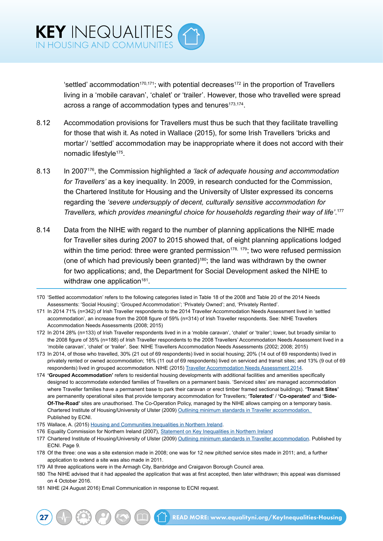'settled' accommodation<sup>170,171</sup>; with potential decreases<sup>172</sup> in the proportion of Travellers living in a 'mobile caravan', 'chalet' or 'trailer'. However, those who travelled were spread across a range of accommodation types and tenures<sup>173,174</sup>.

- 8.12 Accommodation provisions for Travellers must thus be such that they facilitate travelling for those that wish it. As noted in Wallace (2015), for some Irish Travellers 'bricks and mortar'/ 'settled' accommodation may be inappropriate where it does not accord with their nomadic lifestyle<sup>175</sup>.
- 8.13 In 2007176, the Commission highlighted *a 'lack of adequate housing and accommodation for Travellers'* as a key inequality*.* In 2009, in research conducted for the Commission, the Chartered Institute for Housing and the University of Ulster expressed its concerns regarding the *'severe undersupply of decent, culturally sensitive accommodation for Travellers, which provides meaningful choice for households regarding their way of life'*. 177
- 8.14 Data from the NIHE with regard to the number of planning applications the NIHE made for Traveller sites during 2007 to 2015 showed that, of eight planning applications lodged within the time period: three were granted permission<sup>178, 179</sup>; two were refused permission (one of which had previously been granted)<sup>180</sup>; the land was withdrawn by the owner for two applications; and, the Department for Social Development asked the NIHE to withdraw one application $181$ .

- 171 In 2014 71% (n=342) of Irish Traveller respondents to the 2014 Traveller Accommodation Needs Assessment lived in 'settled accommodation', an increase from the 2008 figure of 59% (n=314) of Irish Traveller respondents. See: NIHE Travellers Accommodation Needs Assessments (2008; 2015)
- 172 In 2014 28% (n=133) of Irish Traveller respondents lived in in a 'mobile caravan', 'chalet' or 'trailer'; lower, but broadly similar to the 2008 figure of 35% (n=188) of Irish Traveller respondents to the 2008 Travellers' Accommodation Needs Assessment lived in a 'mobile caravan', 'chalet' or 'trailer'. See: NIHE Travellers Accommodation Needs Assessments (2002; 2008; 2015)
- 173 In 2014, of those who travelled, 30% (21 out of 69 respondents) lived in social housing; 20% (14 out of 69 respondents) lived in privately rented or owned accommodation; 16% (11 out of 69 respondents) lived on serviced and transit sites; and 13% (9 out of 69 respondents) lived in grouped accommodation. NIHE (2015) [Traveller Accommodation Needs Assessment 2014](http://www.nihe.gov.uk/traveller_accommodation_needs_assessment_2014__published_march_2015_.pdf).
- 174 **'Grouped Accommodation'** refers to residential housing developments with additional facilities and amenities specifically designed to accommodate extended families of Travellers on a permanent basis. 'Serviced sites' are managed accommodation where Traveller families have a permanent base to park their caravan or erect timber framed sectional buildings). **'Transit Sites'** are permanently operational sites that provide temporary accommodation for Travellers; **'Tolerated'** / **'Co-operated'** and **'Side-Of-The-Road'** sites are unauthorised. The Co-Operation Policy, managed by the NIHE allows camping on a temporary basis. Chartered Institute of Housing/University of Ulster (2009) [Outlining minimum standards in Traveller accommodation.](http://www.equalityni.org/Delivering-Equality/Addressing-inequality/Housing-communities/Research-investigations)  [Published by ECNI.](http://www.equalityni.org/Delivering-Equality/Addressing-inequality/Housing-communities/Research-investigations)
- 175 Wallace, A. (2015) [Housing and Communities Inequalities in Northern Ireland.](http://www.equalityni.org/ECNI/media/ECNI/Publications/Delivering%20Equality/HousingInequalities-FullReport.pdf)
- 176 Equality Commission for Northern Ireland (2007), [Statement on Key Inequalities in Northern Ireland](http://www.equalityni.org/ECNI/media/ECNI/Publications/Delivering%20Equality/Keyinequalities(F)1107.pdf)
- 177 Chartered Institute of Housing/University of Ulster (2009) [Outlining minimum standards in Traveller accommodation.](http://www.equalityni.org/Delivering-Equality/Addressing-inequality/Housing-communities/Research-investigations) Published by ECNI. Page 9.
- 178 Of the three: one was a site extension made in 2008; one was for 12 new pitched service sites made in 2011; and, a further application to extend a site was also made in 2011.
- 179 All three applications were in the Armagh City, Banbridge and Craigavon Borough Council area.
- 180 The NIHE advised that it had appealed the application that was at first accepted, then later withdrawn; this appeal was dismissed on 4 October 2016.
- 181 NIHE (24 August 2016) Email Communication in response to ECNI request.

<sup>170</sup> 'Settled accommodation' refers to the following categories listed in Table 18 of the 2008 and Table 20 of the 2014 Needs Assessments: 'Social Housing'; 'Grouped Accommodation'; 'Privately Owned'; and, 'Privately Rented'.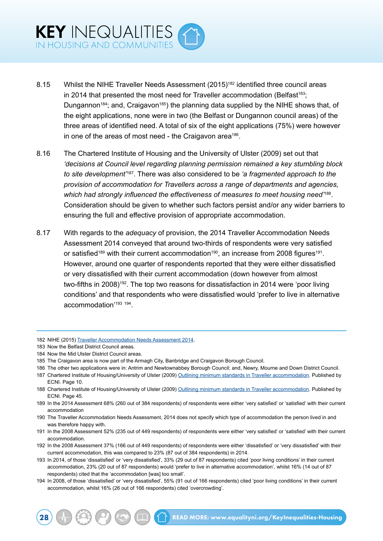- 8.15 Whilst the NIHE Traveller Needs Assessment (2015)182 identified three council areas in 2014 that presented the most need for Traveller accommodation (Belfast<sup>183</sup>; Dungannon<sup>184</sup>; and, Craigavon<sup>185</sup>) the planning data supplied by the NIHE shows that, of the eight applications, none were in two (the Belfast or Dungannon council areas) of the three areas of identified need. A total of six of the eight applications (75%) were however in one of the areas of most need - the Craigavon area<sup>186</sup>.
- 8.16 The Chartered Institute of Housing and the University of Ulster (2009) set out that *'decisions at Council level regarding planning permission remained a key stumbling block to site development'*187. There was also considered to be *'a fragmented approach to the provision of accommodation for Travellers across a range of departments and agencies, which had strongly influenced the effectiveness of measures to meet housing need'*188. Consideration should be given to whether such factors persist and/or any wider barriers to ensuring the full and effective provision of appropriate accommodation.
- 8.17 With regards to the *adequacy* of provision, the 2014 Traveller Accommodation Needs Assessment 2014 conveyed that around two-thirds of respondents were very satisfied or satisfied<sup>189</sup> with their current accommodation<sup>190</sup>, an increase from 2008 figures<sup>191</sup>. However, around one quarter of respondents reported that they were either dissatisfied or very dissatisfied with their current accommodation (down however from almost two-fifths in 2008)<sup>192</sup>. The top two reasons for dissatisfaction in 2014 were 'poor living conditions' and that respondents who were dissatisfied would 'prefer to live in alternative accommodation'193 194.

<sup>182</sup> NIHE (2015) [Traveller Accommodation Needs Assessment 2014.](http://www.nihe.gov.uk/traveller_accommodation_needs_assessment_2014__published_march_2015_.pdf)

<sup>183</sup> Now the Belfast District Council areas.

<sup>184</sup> Now the Mid Ulster District Council areas.

<sup>185</sup> The Craigavon area is now part of the Armagh City, Banbridge and Craigavon Borough Council.

<sup>186</sup> The other two applications were in: Antrim and Newtownabbey Borough Council; and, Newry, Mourne and Down District Council.

<sup>187</sup> Chartered Institute of Housing/University of Ulster (2009) [Outlining minimum standards in Traveller accommodation.](http://www.equalityni.org/Delivering-Equality/Addressing-inequality/Housing-communities/Research-investigations) Published by ECNI. Page 10.

<sup>188</sup> Chartered Institute of Housing/University of Ulster (2009) [Outlining minimum standards in Traveller accommodation.](http://www.equalityni.org/Delivering-Equality/Addressing-inequality/Housing-communities/Research-investigations) Published by ECNI. Page 45.

<sup>189</sup> In the 2014 Assessment 68% (260 out of 384 respondents) of respondents were either 'very satisfied' or 'satisfied' with their current accommodation

<sup>190</sup> The Traveller Accommodation Needs Assessment, 2014 does not specify which type of accommodation the person lived in and was therefore happy with.

<sup>191</sup> In the 2008 Assessment 52% (235 out of 449 respondents) of respondents were either 'very satisfied' or 'satisfied' with their current accommodation.

<sup>192</sup> In the 2008 Assessment 37% (166 out of 449 respondents) of respondents were either 'dissatisfied' or 'very dissatisfied' with their current accommodation, this was compared to 23% (87 out of 384 respondents) in 2014.

<sup>193</sup> In 2014, of those 'dissatisfied' or 'very dissatisfied', 33% (29 out of 87 respondents) cited 'poor living conditions' in their current accommodation, 23% (20 out of 87 respondents) would 'prefer to live in alternative accommodation', whilst 16% (14 out of 87 respondents) cited that the 'accommodation [was] too small'.

<sup>194</sup> In 2008, of those 'dissatisfied' or 'very dissatisfied', 55% (91 out of 166 respondents) cited 'poor living conditions' in their current accommodation, whilst 16% (26 out of 166 respondents) cited 'overcrowding'.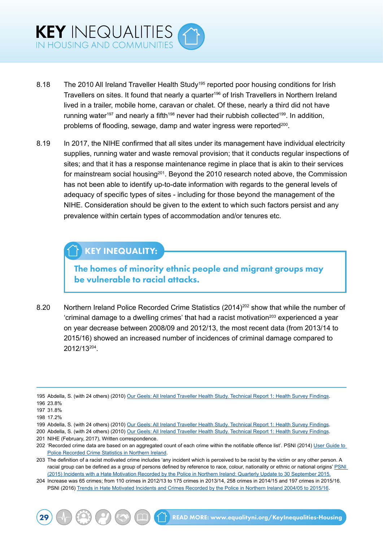

- 8.18 The 2010 All Ireland Traveller Health Study<sup>195</sup> reported poor housing conditions for Irish Travellers on sites. It found that nearly a quarter<sup>196</sup> of Irish Travellers in Northern Ireland lived in a trailer, mobile home, caravan or chalet. Of these, nearly a third did not have running water<sup>197</sup> and nearly a fifth<sup>198</sup> never had their rubbish collected<sup>199</sup>. In addition, problems of flooding, sewage, damp and water ingress were reported<sup>200</sup>.
- 8.19 In 2017, the NIHE confirmed that all sites under its management have individual electricity supplies, running water and waste removal provision; that it conducts regular inspections of sites; and that it has a response maintenance regime in place that is akin to their services for mainstream social housing<sup>201</sup>. Beyond the 2010 research noted above, the Commission has not been able to identify up-to-date information with regards to the general levels of adequacy of specific types of sites - including for those beyond the management of the NIHE. Consideration should be given to the extent to which such factors persist and any prevalence within certain types of accommodation and/or tenures etc.

## KEY INEQUALITY:

The homes of minority ethnic people and migrant groups may be vulnerable to racial attacks.

8.20 Northern Ireland Police Recorded Crime Statistics (2014)<sup>202</sup> show that while the number of  $'$ criminal damage to a dwelling crimes' that had a racist motivation $^{203}$  experienced a year on year decrease between 2008/09 and 2012/13, the most recent data (from 2013/14 to 2015/16) showed an increased number of incidences of criminal damage compared to 2012/13204.

200 Abdella, S. (with 24 others) (2010) [Our Geels: All Ireland Traveller Health Study. Technical Report 1: Health Survey Findings](https://www.ucd.ie/t4cms/AITHS_TechnicalReport1.pdf).

204 Increase was 65 crimes; from 110 crimes in 2012/13 to 175 crimes in 2013/14, 258 crimes in 2014/15 and 197 crimes in 2015/16. PSNI (2016) [Trends in Hate Motivated Incidents and Crimes Recorded by the Police in Northern Ireland 2004/05 to 2015/16.](https://www.psni.police.uk/globalassets/inside-the-psni/our-statistics/hate-motivation-statistics/hate-motivated-incidents-and-crimes-in-northern-ireland-2004-05-to-2015-16.pdf)

<sup>195</sup> Abdella, S. (with 24 others) (2010) [Our Geels: All Ireland Traveller Health Study. Technical Report 1: Health Survey Findings](https://www.ucd.ie/t4cms/AITHS_TechnicalReport1.pdf). 196 23.8%

<sup>197</sup> 31.8%

<sup>198</sup> 17.2%

<sup>199</sup> Abdella, S. (with 24 others) (2010) [Our Geels: All Ireland Traveller Health Study. Technical Report 1: Health Survey Findings](https://www.ucd.ie/t4cms/AITHS_TechnicalReport1.pdf).

<sup>201</sup> NIHE (February, 2017), Written correspondence.

<sup>202 &#</sup>x27;Recorded crime data are based on an aggregated count of each crime within the notifiable offence list'. PSNI (2014) User Guide to [Police Recorded Crime Statistics in Northern Ireland.](http://www.psni.police.uk/user_guide.pdf)

<sup>203</sup> The definition of a racist motivated crime includes 'any incident which is perceived to be racist by the victim or any other person. A racial group can be defined as a group of persons defined by reference to race, colour, nationality or ethnic or national origins' PSNI [\(2015\) Incidents with a Hate Motivation Recorded by the Police in Northern Ireland: Quarterly Update to 30 September 2015.](https://www.psni.police.uk/globalassets/inside-the-psni/our-statistics/hate-motivation-statistics/quarterly_hate_motivations_bulletin_period_ending_sep15.pdf)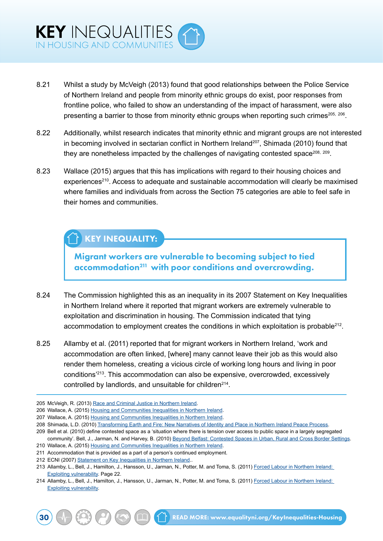

- 8.21 Whilst a study by McVeigh (2013) found that good relationships between the Police Service of Northern Ireland and people from minority ethnic groups do exist, poor responses from frontline police, who failed to show an understanding of the impact of harassment, were also presenting a barrier to those from minority ethnic groups when reporting such crimes<sup>205, 206</sup>.
- 8.22 Additionally, whilst research indicates that minority ethnic and migrant groups are not interested in becoming involved in sectarian conflict in Northern Ireland<sup>207</sup>, Shimada (2010) found that they are nonetheless impacted by the challenges of navigating contested space<sup>208, 209</sup>.
- 8.23 Wallace (2015) argues that this has implications with regard to their housing choices and experiences<sup>210</sup>. Access to adequate and sustainable accommodation will clearly be maximised where families and individuals from across the Section 75 categories are able to feel safe in their homes and communities.

## KEY INEQUALITY:

Migrant workers are vulnerable to becoming subject to tied accommodation<sup>211</sup> with poor conditions and overcrowding.

- 8.24 The Commission highlighted this as an inequality in its 2007 Statement on Key Inequalities in Northern Ireland where it reported that migrant workers are extremely vulnerable to exploitation and discrimination in housing. The Commission indicated that tying accommodation to employment creates the conditions in which exploitation is probable<sup>212</sup>.
- 8.25 Allamby et al. (2011) reported that for migrant workers in Northern Ireland, 'work and accommodation are often linked, [where] many cannot leave their job as this would also render them homeless, creating a vicious circle of working long hours and living in poor conditions'213. This accommodation can also be expensive, overcrowded, excessively controlled by landlords, and unsuitable for children<sup>214</sup>.

<sup>205</sup> McVeigh, R. (2013) [Race and Criminal Justice in Northern Ireland.](http://nicem.org.uk/wp-content/uploads/2014/02/Race_and_Criminal_Justice_2013.pdf)

<sup>206</sup> Wallace, A. (2015) [Housing and Communities Inequalities in Northern Ireland.](http://www.equalityni.org/ECNI/media/ECNI/Publications/Delivering%20Equality/HousingInequalities-FullReport.pdf)

<sup>207</sup> Wallace, A. (2015) [Housing and Communities Inequalities in Northern Ireland.](http://www.equalityni.org/ECNI/media/ECNI/Publications/Delivering%20Equality/HousingInequalities-FullReport.pdf)

<sup>208</sup> Shimada, L.D. (2010) [Transforming Earth and Fire: New Narratives of Identity and Place in Northern Ireland Peace Process](http://discovery.ucl.ac.uk/20309/).

<sup>209</sup> Bell et al. (2010) define contested space as a 'situation where there is tension over access to public space in a largely segregated community'. Bell, J., Jarman, N. and Harvey, B. (2010) [Beyond Belfast: Contested Spaces in Urban, Rural and Cross Border Settings](http://www.healingthroughremembering.org/images/j_library/lib/Beyond%20Belfast%20-%20Contested%20Spaces%20in%20Urban,%20Rural%20and%20Conflicted%20Settings.pdf).

<sup>210</sup> Wallace, A. (2015) [Housing and Communities Inequalities in Northern Ireland.](http://www.equalityni.org/ECNI/media/ECNI/Publications/Delivering%20Equality/HousingInequalities-FullReport.pdf)

<sup>211</sup> Accommodation that is provided as a part of a person's continued employment.

<sup>212</sup> ECNI (2007) [Statement on Key Inequalities in Northern Ireland](http://www.equalityni.org/ECNI/media/ECNI/Publications/Delivering%20Equality/Keyinequalities(F)1107.pdf)..

<sup>213</sup> Allamby, L., Bell, J., Hamilton, J., Hansson, U., Jarman, N., Potter, M. and Toma, S. (2011) [Forced Labour in Northern Ireland:](http://conflictresearch.org.uk/reports/migration/forced-labour-Northern-Ireland-full.pdf)  [Exploiting vulnerability](http://conflictresearch.org.uk/reports/migration/forced-labour-Northern-Ireland-full.pdf). Page 22.

<sup>214</sup> Allamby, L., Bell, J., Hamilton, J., Hansson, U., Jarman, N., Potter, M. and Toma, S. (2011) [Forced Labour in Northern Ireland:](http://conflictresearch.org.uk/reports/migration/forced-labour-Northern-Ireland-full.pdf)  [Exploiting vulnerability](http://conflictresearch.org.uk/reports/migration/forced-labour-Northern-Ireland-full.pdf).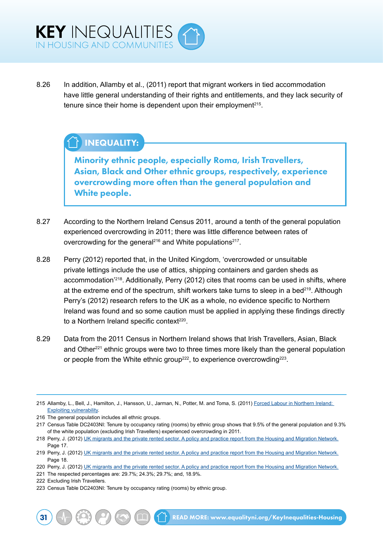8.26 In addition, Allamby et al., (2011) report that migrant workers in tied accommodation have little general understanding of their rights and entitlements, and they lack security of tenure since their home is dependent upon their employment<sup> $215$ </sup>.

## INEQUALITY:

Minority ethnic people, especially Roma, Irish Travellers, Asian, Black and Other ethnic groups, respectively, experience overcrowding more often than the general population and White people.

- 8.27 According to the Northern Ireland Census 2011, around a tenth of the general population experienced overcrowding in 2011; there was little difference between rates of overcrowding for the general<sup>216</sup> and White populations<sup>217</sup>.
- 8.28 Perry (2012) reported that, in the United Kingdom, 'overcrowded or unsuitable private lettings include the use of attics, shipping containers and garden sheds as accommodation'218. Additionally, Perry (2012) cites that rooms can be used in shifts, where at the extreme end of the spectrum, shift workers take turns to sleep in a bed<sup>219</sup>. Although Perry's (2012) research refers to the UK as a whole, no evidence specific to Northern Ireland was found and so some caution must be applied in applying these findings directly to a Northern Ireland specific context<sup>220</sup>.
- 8.29 Data from the 2011 Census in Northern Ireland shows that Irish Travellers, Asian, Black and Other<sup>221</sup> ethnic groups were two to three times more likely than the general population or people from the White ethnic group<sup>222</sup>, to experience overcrowding<sup>223</sup>.

<sup>215</sup> Allamby, L., Bell, J., Hamilton, J., Hansson, U., Jarman, N., Potter, M. and Toma, S. (2011) [Forced Labour in Northern Ireland:](http://conflictresearch.org.uk/reports/migration/forced-labour-Northern-Ireland-full.pdf)  [Exploiting vulnerability](http://conflictresearch.org.uk/reports/migration/forced-labour-Northern-Ireland-full.pdf).

<sup>216</sup> The general population includes all ethnic groups.

<sup>217</sup> Census Table DC2403NI: Tenure by occupancy rating (rooms) by ethnic group shows that 9.5% of the general population and 9.3% of the white population (excluding Irish Travellers) experienced overcrowding in 2011.

<sup>218</sup> Perry, J. (2012) [UK migrants and the private rented sector. A policy and practice report from the Housing and Migration Network.](https://www.jrf.org.uk/report/uk-migrants-and-private-rented-sector) Page 17.

<sup>219</sup> Perry, J. (2012) [UK migrants and the private rented sector. A policy and practice report from the Housing and Migration Network.](https://www.jrf.org.uk/report/uk-migrants-and-private-rented-sector) Page 18

<sup>220</sup> Perry, J. (2012) [UK migrants and the private rented sector. A policy and practice report from the Housing and Migration Network.](https://www.jrf.org.uk/report/uk-migrants-and-private-rented-sector)

<sup>221</sup> The respected percentages are: 29.7%; 24.3%; 29.7%; and, 18.9%.

<sup>222</sup> Excluding Irish Travellers.

<sup>223</sup> Census Table DC2403NI: Tenure by occupancy rating (rooms) by ethnic group.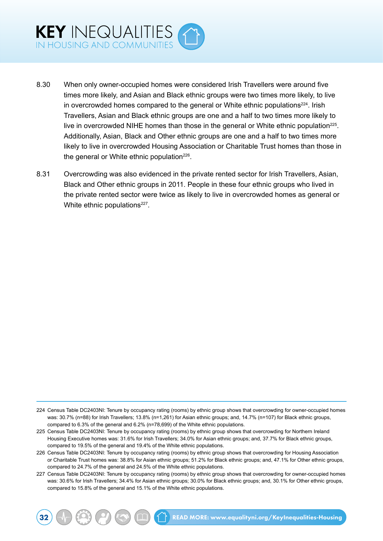

- 8.30 When only owner-occupied homes were considered Irish Travellers were around five times more likely, and Asian and Black ethnic groups were two times more likely, to live in overcrowded homes compared to the general or White ethnic populations $224$ . Irish Travellers, Asian and Black ethnic groups are one and a half to two times more likely to live in overcrowded NIHE homes than those in the general or White ethnic population<sup>225</sup>. Additionally, Asian, Black and Other ethnic groups are one and a half to two times more likely to live in overcrowded Housing Association or Charitable Trust homes than those in the general or White ethnic population<sup>226</sup>.
- 8.31 Overcrowding was also evidenced in the private rented sector for Irish Travellers, Asian, Black and Other ethnic groups in 2011. People in these four ethnic groups who lived in the private rented sector were twice as likely to live in overcrowded homes as general or White ethnic populations<sup>227</sup>.

<sup>224</sup> Census Table DC2403NI: Tenure by occupancy rating (rooms) by ethnic group shows that overcrowding for owner-occupied homes was: 30.7% (n=88) for Irish Travellers; 13.8% (n=1,261) for Asian ethnic groups; and, 14.7% (n=107) for Black ethnic groups, compared to 6.3% of the general and 6.2% (n=78,699) of the White ethnic populations.

<sup>225</sup> Census Table DC2403NI: Tenure by occupancy rating (rooms) by ethnic group shows that overcrowding for Northern Ireland Housing Executive homes was: 31.6% for Irish Travellers; 34.0% for Asian ethnic groups; and, 37.7% for Black ethnic groups, compared to 19.5% of the general and 19.4% of the White ethnic populations.

<sup>226</sup> Census Table DC2403NI: Tenure by occupancy rating (rooms) by ethnic group shows that overcrowding for Housing Association or Charitable Trust homes was: 38.8% for Asian ethnic groups; 51.2% for Black ethnic groups; and, 47.1% for Other ethnic groups, compared to 24.7% of the general and 24.5% of the White ethnic populations.

<sup>227</sup> Census Table DC2403NI: Tenure by occupancy rating (rooms) by ethnic group shows that overcrowding for owner-occupied homes was: 30.6% for Irish Travellers; 34.4% for Asian ethnic groups; 30.0% for Black ethnic groups; and, 30.1% for Other ethnic groups, compared to 15.8% of the general and 15.1% of the White ethnic populations.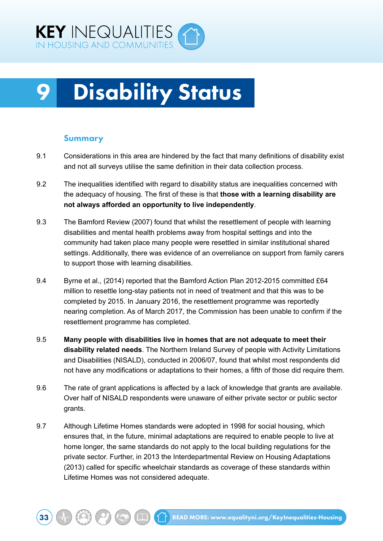<span id="page-39-0"></span>

## **Disability Status**

#### Summary

- 9.1 Considerations in this area are hindered by the fact that many definitions of disability exist and not all surveys utilise the same definition in their data collection process.
- 9.2 The inequalities identified with regard to disability status are inequalities concerned with the adequacy of housing. The first of these is that **those with a learning disability are not always afforded an opportunity to live independently**.
- 9.3 The Bamford Review (2007) found that whilst the resettlement of people with learning disabilities and mental health problems away from hospital settings and into the community had taken place many people were resettled in similar institutional shared settings. Additionally, there was evidence of an overreliance on support from family carers to support those with learning disabilities.
- 9.4 Byrne et al., (2014) reported that the Bamford Action Plan 2012-2015 committed £64 million to resettle long-stay patients not in need of treatment and that this was to be completed by 2015. In January 2016, the resettlement programme was reportedly nearing completion. As of March 2017, the Commission has been unable to confirm if the resettlement programme has completed.
- 9.5 **Many people with disabilities live in homes that are not adequate to meet their disability related needs**. The Northern Ireland Survey of people with Activity Limitations and Disabilities (NISALD), conducted in 2006/07, found that whilst most respondents did not have any modifications or adaptations to their homes, a fifth of those did require them.
- 9.6 The rate of grant applications is affected by a lack of knowledge that grants are available. Over half of NISALD respondents were unaware of either private sector or public sector grants.
- 9.7 Although Lifetime Homes standards were adopted in 1998 for social housing, which ensures that, in the future, minimal adaptations are required to enable people to live at home longer, the same standards do not apply to the local building regulations for the private sector. Further, in 2013 the Interdepartmental Review on Housing Adaptations (2013) called for specific wheelchair standards as coverage of these standards within Lifetime Homes was not considered adequate.

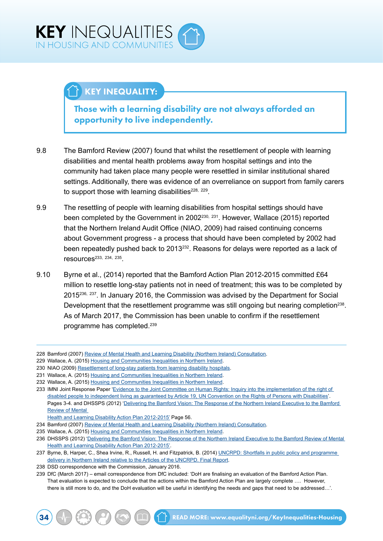## KEY INEQUALITY:

Those with a learning disability are not always afforded an opportunity to live independently.

- 9.8 The Bamford Review (2007) found that whilst the resettlement of people with learning disabilities and mental health problems away from hospital settings and into the community had taken place many people were resettled in similar institutional shared settings. Additionally, there was evidence of an overreliance on support from family carers to support those with learning disabilities<sup>228, 229</sup>.
- 9.9 The resettling of people with learning disabilities from hospital settings should have been completed by the Government in 2002<sup>230, 231</sup>. However, Wallace (2015) reported that the Northern Ireland Audit Office (NIAO, 2009) had raised continuing concerns about Government progress - a process that should have been completed by 2002 had been repeatedly pushed back to 2013<sup>232</sup>. Reasons for delays were reported as a lack of resources233, 234, 235.
- 9.10 Byrne et al., (2014) reported that the Bamford Action Plan 2012-2015 committed £64 million to resettle long-stay patients not in need of treatment; this was to be completed by 2015236, 237. In January 2016, the Commission was advised by the Department for Social Development that the resettlement programme was still ongoing but nearing completion<sup>238</sup>. As of March 2017, the Commission has been unable to confirm if the resettlement programme has completed.239

<sup>228</sup> Bamford (2007) [Review of Mental Health and Learning Disability \(Northern Ireland\) Consultation](http://www.dhsspsni.gov.uk/legal_issues_consultation_report.pdf).

<sup>229</sup> Wallace, A. (2015) [Housing and Communities Inequalities in Northern Ireland.](http://www.equalityni.org/ECNI/media/ECNI/Publications/Delivering%20Equality/HousingInequalities-FullReport.pdf)

<sup>230</sup> NIAO (2009) [Resettlement of long-stay patients from learning disability hospitals](https://www.niauditoffice.gov.uk/sites/niao/files/media-files/resettlement_of_long-stay_patients_from_learning_disability_hospitals.pdf).

<sup>231</sup> Wallace, A. (2015) [Housing and Communities Inequalities in Northern Ireland.](http://www.equalityni.org/ECNI/media/ECNI/Publications/Delivering%20Equality/HousingInequalities-FullReport.pdf)

<sup>232</sup> Wallace, A. (2015) [Housing and Communities Inequalities in Northern Ireland.](http://www.equalityni.org/ECNI/media/ECNI/Publications/Delivering%20Equality/HousingInequalities-FullReport.pdf)

<sup>233</sup> IMNI Joint Response Paper 'Evidence to the Joint Committee on Human Rights: Inquiry into the implementation of the right of [disabled people to independent living as guaranteed by Article 19, UN Convention on the Rights of Persons with Disabilities'](http://www.google.co.uk/url?sa=t&rct=j&q=&esrc=s&source=web&cd=10&cad=rja&uact=8&ved=0ahUKEwjrxYmc4_nKAhXDTBQKHUwUBPoQFghYMAk&url=http%3A%2F%2Fwww.equalityni.org%2FECNI%2Fmedia%2FECNI%2FConsultation%2520Responses%2F2012%2FIMNI_Response_Joint_Comm_Human_Rig). Pages 3-4. and DHSSPS (2012) 'Delivering the Bamford Vision: The Response of the Northern Ireland Executive to the Bamford [Review of Mental](http://www.dhsspsni.gov.uk/2012-2015-bamford-action-plan.pdf) 

[Health and Learning Disability Action Plan 2012-2015'](http://www.dhsspsni.gov.uk/2012-2015-bamford-action-plan.pdf) Page 56.

<sup>234</sup> Bamford (2007) [Review of Mental Health and Learning Disability \(Northern Ireland\) Consultation](http://www.dhsspsni.gov.uk/legal_issues_consultation_report.pdf).

<sup>235</sup> Wallace, A. (2015) [Housing and Communities Inequalities in Northern Ireland.](http://www.equalityni.org/ECNI/media/ECNI/Publications/Delivering%20Equality/HousingInequalities-FullReport.pdf)

<sup>236</sup> DHSSPS (2012) '[Delivering the Bamford Vision: The Response of the Northern Ireland Executive to the Bamford Review of Mental](http://www.dhsspsni.gov.uk/2012-2015-bamford-action-plan.pdf)  [Health and Learning Disability Action Plan 2012-2015'](http://www.dhsspsni.gov.uk/2012-2015-bamford-action-plan.pdf).

<sup>237</sup> Byrne, B, Harper, C., Shea Irvine, R., Russell, H. and Fitzpatrick, B. (2014) UNCRPD: Shortfalls in public policy and programme [delivery in Northern Ireland relative to the Articles of the UNCRPD. Final Report.](http://www.equalityni.org/ECNI/media/ECNI/Publications/Delivering%20Equality/RES1314-05_UNCRPD_SummaryReport_Final_v1a_070714.pdf)

<sup>238</sup> DSD correspondence with the Commission, January 2016.

<sup>239</sup> DfC (March 2017) – email correspondence from DfC included: 'DoH are finalising an evaluation of the Bamford Action Plan. That evaluation is expected to conclude that the actions within the Bamford Action Plan are largely complete …. However, there is still more to do, and the DoH evaluation will be useful in identifying the needs and gaps that need to be addressed…'.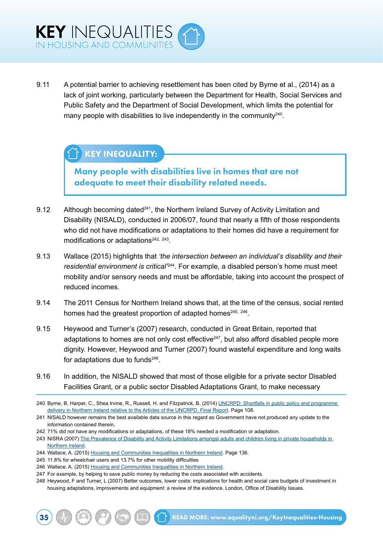

9.11 A potential barrier to achieving resettlement has been cited by Byrne et al., (2014) as a lack of joint working, particularly between the Department for Health, Social Services and Public Safety and the Department of Social Development, which limits the potential for many people with disabilities to live independently in the community<sup>240</sup>.

## KEY INEQUALITY:

Many people with disabilities live in homes that are not adequate to meet their disability related needs.

- 9.12 Although becoming dated $241$ , the Northern Ireland Survey of Activity Limitation and Disability (NISALD), conducted in 2006/07, found that nearly a fifth of those respondents who did not have modifications or adaptations to their homes did have a requirement for modifications or adaptations<sup>242, 243</sup>.
- 9.13 Wallace (2015) highlights that *'the intersection between an individual's disability and their residential environment is critical'*244. For example, a disabled person's home must meet mobility and/or sensory needs and must be affordable, taking into account the prospect of reduced incomes.
- 9.14 The 2011 Census for Northern Ireland shows that, at the time of the census, social rented homes had the greatest proportion of adapted homes<sup>245, 246</sup>.
- 9.15 Heywood and Turner's (2007) research, conducted in Great Britain, reported that adaptations to homes are not only cost effective<sup>247</sup>, but also afford disabled people more dignity. However, Heywood and Turner (2007) found wasteful expenditure and long waits for adaptations due to funds $248$ .
- 9.16 In addition, the NISALD showed that most of those eligible for a private sector Disabled Facilities Grant, or a public sector Disabled Adaptations Grant, to make necessary
- 240 Byrne, B, Harper, C., Shea Irvine, R., Russell, H. and Fitzpatrick, B. (2014) [UNCRPD: Shortfalls in public policy and programme](http://www.equalityni.org/ECNI/media/ECNI/Publications/Delivering%20Equality/RES1314-05_UNCRPD_SummaryReport_Final_v1a_070714.pdf)  [delivery in Northern Ireland relative to the Articles of the UNCRPD. Final Report.](http://www.equalityni.org/ECNI/media/ECNI/Publications/Delivering%20Equality/RES1314-05_UNCRPD_SummaryReport_Final_v1a_070714.pdf) Page 108.
- 241 NISALD however remains the best available data source in this regard as Government have not produced any update to the information contained therein.
- 242 71% did not have any modifications or adaptations, of these 18% needed a modification or adaptation.
- 243 NISRA (2007) [The Prevalence of Disability and Activity Limitations amongst adults and children living in private households in](http://www.csu.nisra.gov.uk/NISALD%20Household%20Prevalence%20Report.pdf)  [Northern Ireland.](http://www.csu.nisra.gov.uk/NISALD%20Household%20Prevalence%20Report.pdf)
- 244 Wallace, A. (2015) [Housing and Communities Inequalities in Northern Ireland.](http://www.equalityni.org/ECNI/media/ECNI/Publications/Delivering%20Equality/HousingInequalities-FullReport.pdf) Page 136.
- 245 11.8% for wheelchair users and 13.7% for other mobility difficulties
- 246 Wallace, A. (2015) [Housing and Communities Inequalities in Northern Ireland.](http://www.equalityni.org/ECNI/media/ECNI/Publications/Delivering%20Equality/HousingInequalities-FullReport.pdf)
- 247 For example, by helping to save public money by reducing the costs associated with accidents.
- 248 Heywood, F and Turner, L (2007) Better outcomes, lower costs: implications for health and social care budgets of investment in housing adaptations, improvements and equipment: a review of the evidence. London, Office of Disability Issues.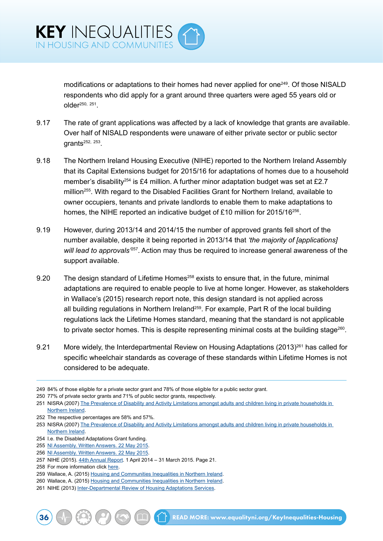modifications or adaptations to their homes had never applied for one<sup>249</sup>. Of those NISALD respondents who did apply for a grant around three quarters were aged 55 years old or older250, 251.

- 9.17 The rate of grant applications was affected by a lack of knowledge that grants are available. Over half of NISALD respondents were unaware of either private sector or public sector grants252, 253.
- 9.18 The Northern Ireland Housing Executive (NIHE) reported to the Northern Ireland Assembly that its Capital Extensions budget for 2015/16 for adaptations of homes due to a household member's disability<sup>254</sup> is £4 million. A further minor adaptation budget was set at £2.7 million<sup>255</sup>. With regard to the Disabled Facilities Grant for Northern Ireland, available to owner occupiers, tenants and private landlords to enable them to make adaptations to homes, the NIHE reported an indicative budget of £10 million for 2015/16<sup>256</sup>.
- 9.19 However, during 2013/14 and 2014/15 the number of approved grants fell short of the number available, despite it being reported in 2013/14 that *'the majority of [applications] will lead to approvals'*257. Action may thus be required to increase general awareness of the support available.
- 9.20 The design standard of Lifetime Homes<sup>258</sup> exists to ensure that, in the future, minimal adaptations are required to enable people to live at home longer. However, as stakeholders in Wallace's (2015) research report note, this design standard is not applied across all building regulations in Northern Ireland<sup>259</sup>. For example, Part R of the local building regulations lack the Lifetime Homes standard, meaning that the standard is not applicable to private sector homes. This is despite representing minimal costs at the building stage $^{260}$ .
- 9.21 More widely, the Interdepartmental Review on Housing Adaptations (2013)<sup>261</sup> has called for specific wheelchair standards as coverage of these standards within Lifetime Homes is not considered to be adequate.

252 The respective percentages are 58% and 57%.

<sup>249</sup> 84% of those eligible for a private sector grant and 78% of those eligible for a public sector grant.

<sup>250</sup> 77% of private sector grants and 71% of public sector grants, respectively.

<sup>251</sup> NISRA (2007) The Prevalence of Disability and Activity Limitations amongst adults and children living in private households in **[Northern Ireland.](http://www.csu.nisra.gov.uk/NISALD%20Household%20Prevalence%20Report.pdf)** 

<sup>253</sup> NISRA (2007) The Prevalence of Disability and Activity Limitations amongst adults and children living in private households in [Northern Ireland.](http://www.csu.nisra.gov.uk/NISALD%20Household%20Prevalence%20Report.pdf)

<sup>254</sup> I.e. the Disabled Adaptations Grant funding.

<sup>255</sup> [NI Assembly. Written Answers. 22 May 2015](http://aims.niassembly.gov.uk/questions/writtens.aspx).

<sup>256</sup> [NI Assembly. Written Answers. 22 May 2015](http://aims.niassembly.gov.uk/questions/writtens.aspx).

<sup>257</sup> NIHE (2015). [44th Annual Report](http://www.google.co.uk/url?sa=t&rct=j&q=&esrc=s&source=web&cd=1&cad=rja&uact=8&ved=0ahUKEwjk2o2ek53LAhVFtBoKHQKYDnoQFggcMAA&url=http%3A%2F%2Fwww.nihe.gov.uk%2F2015_annual_report.pdf&usg=AFQjCNE-zZL21hoDM9v47hVffSg4adRA_g&bvm=bv.115339255,d.ZWU). 1 April 2014 – 31 March 2015. Page 21.

<sup>258</sup> For more information click [here.](https://www.dsdni.gov.uk/introduction-and-design-objective)

<sup>259</sup> Wallace, A. (2015) [Housing and Communities Inequalities in Northern Ireland.](http://www.equalityni.org/ECNI/media/ECNI/Publications/Delivering%20Equality/HousingInequalities-FullReport.pdf)

<sup>260</sup> Wallace, A. (2015) [Housing and Communities Inequalities in Northern Ireland.](http://www.equalityni.org/ECNI/media/ECNI/Publications/Delivering%20Equality/HousingInequalities-FullReport.pdf)

<sup>261</sup> NIHE (2013) [Inter-Departmental Review of Housing Adaptations Services.](http://www.nihe.gov.uk/interdepartmental_review_of_housing_adaptations_services_executive_summary.pdf)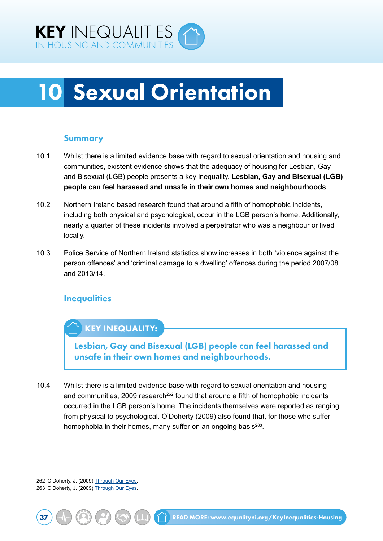<span id="page-43-0"></span>

## 10 Sexual Orientation

#### Summary

- 10.1 Whilst there is a limited evidence base with regard to sexual orientation and housing and communities, existent evidence shows that the adequacy of housing for Lesbian, Gay and Bisexual (LGB) people presents a key inequality. **Lesbian, Gay and Bisexual (LGB) people can feel harassed and unsafe in their own homes and neighbourhoods**.
- 10.2 Northern Ireland based research found that around a fifth of homophobic incidents, including both physical and psychological, occur in the LGB person's home. Additionally, nearly a quarter of these incidents involved a perpetrator who was a neighbour or lived locally.
- 10.3 Police Service of Northern Ireland statistics show increases in both 'violence against the person offences' and 'criminal damage to a dwelling' offences during the period 2007/08 and 2013/14.

### **Inequalities**

## KEY INEQUALITY:

Lesbian, Gay and Bisexual (LGB) people can feel harassed and unsafe in their own homes and neighbourhoods.

10.4 Whilst there is a limited evidence base with regard to sexual orientation and housing and communities, 2009 research<sup>262</sup> found that around a fifth of homophobic incidents occurred in the LGB person's home. The incidents themselves were reported as ranging from physical to psychological. O'Doherty (2009) also found that, for those who suffer homophobia in their homes, many suffer on an ongoing basis $263$ .

262 O'Doherty, J. (2009) [Through Our Eyes.](http://www.rainbow-project.org/assets/publications/through_our_eyes.pdf) 263 O'Doherty, J. (2009) [Through Our Eyes.](http://www.rainbow-project.org/assets/publications/through_our_eyes.pdf)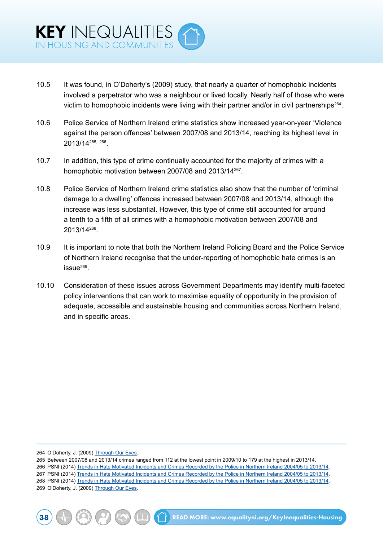- 10.5 It was found, in O'Doherty's (2009) study, that nearly a quarter of homophobic incidents involved a perpetrator who was a neighbour or lived locally. Nearly half of those who were victim to homophobic incidents were living with their partner and/or in civil partnerships<sup>264</sup>.
- 10.6 Police Service of Northern Ireland crime statistics show increased year-on-year 'Violence against the person offences' between 2007/08 and 2013/14, reaching its highest level in 2013/14265, 266.
- 10.7 In addition, this type of crime continually accounted for the majority of crimes with a homophobic motivation between 2007/08 and 2013/14267.
- 10.8 Police Service of Northern Ireland crime statistics also show that the number of 'criminal damage to a dwelling' offences increased between 2007/08 and 2013/14, although the increase was less substantial. However, this type of crime still accounted for around a tenth to a fifth of all crimes with a homophobic motivation between 2007/08 and 2013/14268.
- 10.9 It is important to note that both the Northern Ireland Policing Board and the Police Service of Northern Ireland recognise that the under-reporting of homophobic hate crimes is an  $issue^{269}$ .
- 10.10 Consideration of these issues across Government Departments may identify multi-faceted policy interventions that can work to maximise equality of opportunity in the provision of adequate, accessible and sustainable housing and communities across Northern Ireland, and in specific areas.

264 O'Doherty, J. (2009) [Through Our Eyes.](http://www.rainbow-project.org/assets/publications/through_our_eyes.pdf)

265 Between 2007/08 and 2013/14 crimes ranged from 112 at the lowest point in 2009/10 to 179 at the highest in 2013/14.

266 PSNI (2014) [Trends in Hate Motivated Incidents and Crimes Recorded by the Police in Northern Ireland 2004/05 to 2013/14.](http://www.psni.police.uk/index/updates/updates_statistics/updates_hate_motivation_statistics.htm)

- 267 PSNI (2014) [Trends in Hate Motivated Incidents and Crimes Recorded by the Police in Northern Ireland 2004/05 to 2013/14.](http://www.psni.police.uk/index/updates/updates_statistics/updates_hate_motivation_statistics.htm)
- 268 PSNI (2014) [Trends in Hate Motivated Incidents and Crimes Recorded by the Police in Northern Ireland 2004/05 to 2013/14.](http://www.psni.police.uk/index/updates/updates_statistics/updates_hate_motivation_statistics.htm) 269 O'Doherty, J. (2009) [Through Our Eyes.](http://www.rainbow-project.org/assets/publications/through_our_eyes.pdf)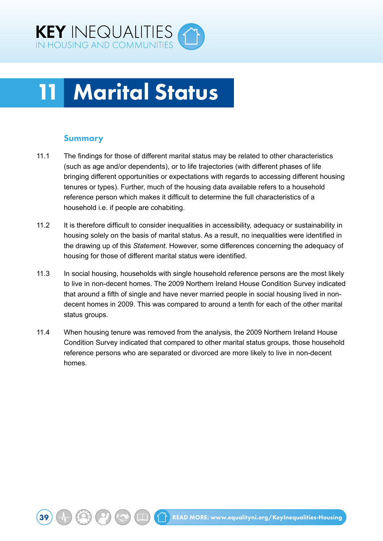<span id="page-45-0"></span>

## **Marital Status**

#### Summary

- 11.1 The findings for those of different marital status may be related to other characteristics (such as age and/or dependents), or to life trajectories (with different phases of life bringing different opportunities or expectations with regards to accessing different housing tenures or types). Further, much of the housing data available refers to a household reference person which makes it difficult to determine the full characteristics of a household i.e. if people are cohabiting.
- 11.2 It is therefore difficult to consider inequalities in accessibility, adequacy or sustainability in housing solely on the basis of marital status. As a result, no inequalities were identified in the drawing up of this *Statement*. However, some differences concerning the adequacy of housing for those of different marital status were identified.
- 11.3 In social housing, households with single household reference persons are the most likely to live in non-decent homes. The 2009 Northern Ireland House Condition Survey indicated that around a fifth of single and have never married people in social housing lived in nondecent homes in 2009. This was compared to around a tenth for each of the other marital status groups.
- 11.4 When housing tenure was removed from the analysis, the 2009 Northern Ireland House Condition Survey indicated that compared to other marital status groups, those household reference persons who are separated or divorced are more likely to live in non-decent homes.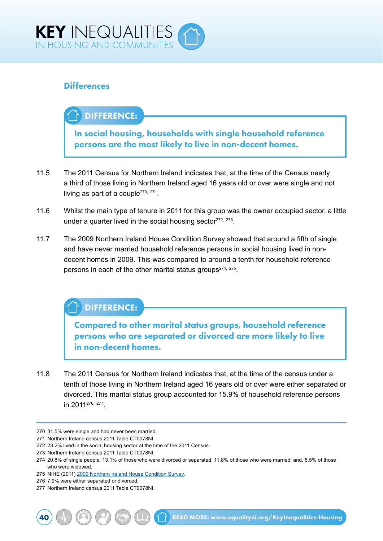

### **Differences**

## DIFFERENCE:

In social housing, households with single household reference persons are the most likely to live in non-decent homes.

- 11.5 The 2011 Census for Northern Ireland indicates that, at the time of the Census nearly a third of those living in Northern Ireland aged 16 years old or over were single and not living as part of a couple<sup>270, 271</sup>.
- 11.6 Whilst the main type of tenure in 2011 for this group was the owner occupied sector, a little under a quarter lived in the social housing sector $272$ ,  $273$ .
- 11.7 The 2009 Northern Ireland House Condition Survey showed that around a fifth of single and have never married household reference persons in social housing lived in nondecent homes in 2009. This was compared to around a tenth for household reference persons in each of the other marital status groups<sup>274, 275</sup>.

### DIFFERENCE:

Compared to other marital status groups, household reference persons who are separated or divorced are more likely to live in non-decent homes.

11.8 The 2011 Census for Northern Ireland indicates that, at the time of the census under a tenth of those living in Northern Ireland aged 16 years old or over were either separated or divorced. This marital status group accounted for 15.9% of household reference persons in 2011276, 277.

<sup>270</sup> 31.5% were single and had never been married.

<sup>271</sup> Northern Ireland census 2011 Table CT0078NI.

<sup>272</sup> 23.2% lived in the social housing sector at the time of the 2011 Census.

<sup>273</sup> Northern Ireland census 2011 Table CT0078NI.

<sup>274</sup> 20.8% of single people; 13.1% of those who were divorced or separated; 11.8% of those who were married; and, 8.5% of those who were widowed.

<sup>275</sup> NIHE (2011) [2009 Northern Ireland House Condition Survey.](http://www.nihe.gov.uk/index/corporate/housing_research/house_condition_survey.htm)

<sup>276</sup> 7.9% were either separated or divorced.

<sup>277</sup> Northern Ireland census 2011 Table CT0078NI.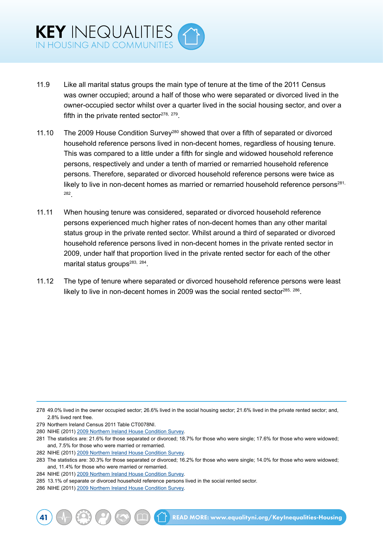- 11.9 Like all marital status groups the main type of tenure at the time of the 2011 Census was owner occupied; around a half of those who were separated or divorced lived in the owner-occupied sector whilst over a quarter lived in the social housing sector, and over a fifth in the private rented sector $278$ ,  $279$ .
- 11.10 The 2009 House Condition Survey<sup>280</sup> showed that over a fifth of separated or divorced household reference persons lived in non-decent homes, regardless of housing tenure. This was compared to a little under a fifth for single and widowed household reference persons, respectively and under a tenth of married or remarried household reference persons. Therefore, separated or divorced household reference persons were twice as likely to live in non-decent homes as married or remarried household reference persons<sup>281,</sup> 282.
- 11.11 When housing tenure was considered, separated or divorced household reference persons experienced much higher rates of non-decent homes than any other marital status group in the private rented sector. Whilst around a third of separated or divorced household reference persons lived in non-decent homes in the private rented sector in 2009, under half that proportion lived in the private rented sector for each of the other marital status groups<sup>283, 284</sup>.
- 11.12 The type of tenure where separated or divorced household reference persons were least likely to live in non-decent homes in 2009 was the social rented sector $285, 286$ .

<sup>278</sup> 49.0% lived in the owner occupied sector; 26.6% lived in the social housing sector; 21.6% lived in the private rented sector; and, 2.8% lived rent free.

<sup>279</sup> Northern Ireland Census 2011 Table CT0078NI.

<sup>280</sup> NIHE (2011) [2009 Northern Ireland House Condition Survey.](http://www.nihe.gov.uk/index/corporate/housing_research/house_condition_survey.htm)

<sup>281</sup> The statistics are: 21.6% for those separated or divorced; 18.7% for those who were single; 17.6% for those who were widowed; and, 7.5% for those who were married or remarried.

<sup>282</sup> NIHE (2011) [2009 Northern Ireland House Condition Survey.](http://www.nihe.gov.uk/index/corporate/housing_research/house_condition_survey.htm)

<sup>283</sup> The statistics are: 30.3% for those separated or divorced; 16.2% for those who were single; 14.0% for those who were widowed; and, 11.4% for those who were married or remarried.

<sup>284</sup> NIHE (2011) [2009 Northern Ireland House Condition Survey.](http://www.nihe.gov.uk/index/corporate/housing_research/house_condition_survey.htm)

<sup>285</sup> 13.1% of separate or divorced household reference persons lived in the social rented sector.

<sup>286</sup> NIHE (2011) [2009 Northern Ireland House Condition Survey.](http://www.nihe.gov.uk/index/corporate/housing_research/house_condition_survey.htm)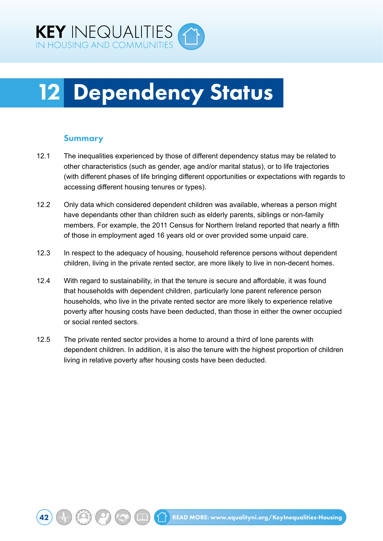<span id="page-48-0"></span>

## 12 Dependency Status

#### Summary

- 12.1 The inequalities experienced by those of different dependency status may be related to other characteristics (such as gender, age and/or marital status), or to life trajectories (with different phases of life bringing different opportunities or expectations with regards to accessing different housing tenures or types).
- 12.2 Only data which considered dependent children was available, whereas a person might have dependants other than children such as elderly parents, siblings or non-family members. For example, the 2011 Census for Northern Ireland reported that nearly a fifth of those in employment aged 16 years old or over provided some unpaid care.
- 12.3 In respect to the adequacy of housing, household reference persons without dependent children, living in the private rented sector, are more likely to live in non-decent homes.
- 12.4 With regard to sustainability, in that the tenure is secure and affordable, it was found that households with dependent children, particularly lone parent reference person households, who live in the private rented sector are more likely to experience relative poverty after housing costs have been deducted, than those in either the owner occupied or social rented sectors.
- 12.5 The private rented sector provides a home to around a third of lone parents with dependent children. In addition, it is also the tenure with the highest proportion of children living in relative poverty after housing costs have been deducted.

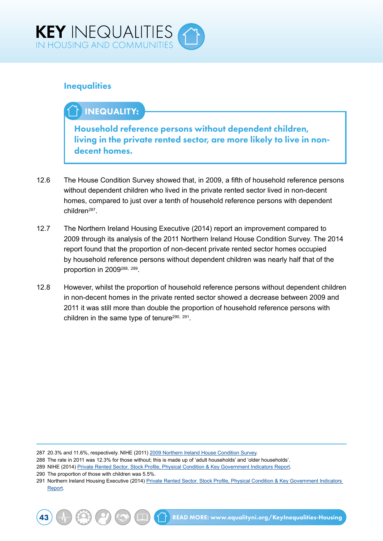

### **Inequalities**

## INEQUALITY:

Household reference persons without dependent children, living in the private rented sector, are more likely to live in nondecent homes.

- 12.6 The House Condition Survey showed that, in 2009, a fifth of household reference persons without dependent children who lived in the private rented sector lived in non-decent homes, compared to just over a tenth of household reference persons with dependent children287.
- 12.7 The Northern Ireland Housing Executive (2014) report an improvement compared to 2009 through its analysis of the 2011 Northern Ireland House Condition Survey. The 2014 report found that the proportion of non-decent private rented sector homes occupied by household reference persons without dependent children was nearly half that of the proportion in 2009<sup>288, 289</sup>.
- 12.8 However, whilst the proportion of household reference persons without dependent children in non-decent homes in the private rented sector showed a decrease between 2009 and 2011 it was still more than double the proportion of household reference persons with children in the same type of tenure<sup>290, 291</sup>.

287 20.3% and 11.6%, respectively. NIHE (2011) [2009 Northern Ireland House Condition Survey.](http://www.nihe.gov.uk/index/corporate/housing_research/house_condition_survey.htm)

- 288 The rate in 2011 was 12.3% for those without; this is made up of 'adult households' and 'older households'.
- 289 NIHE (2014) [Private Rented Sector. Stock Profile, Physical Condition & Key Government Indicators Report](http://www.nihe.gov.uk/private_rented_sector_stock_profile_physical_condition_2014_.pdf.).
- 290 The proportion of those with children was 5.5%.

<sup>291</sup> Northern Ireland Housing Executive (2014) [Private Rented Sector. Stock Profile, Physical Condition & Key Government Indicators](http://www.nihe.gov.uk/private_rented_sector_stock_profile_physical_condition_2014_.pdf.)  [Report.](http://www.nihe.gov.uk/private_rented_sector_stock_profile_physical_condition_2014_.pdf.)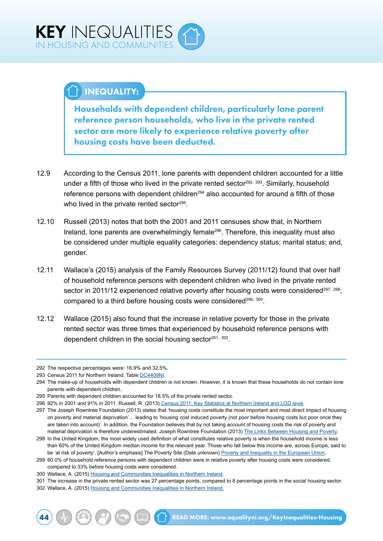## $\mathbb{Y}$  INEQUALITY:

Households with dependent children, particularly lone parent reference person households, who live in the private rented sector are more likely to experience relative poverty after housing costs have been deducted.

- 12.9 According to the Census 2011, lone parents with dependent children accounted for a little under a fifth of those who lived in the private rented sector<sup>292, 293</sup>. Similarly, household reference persons with dependent children<sup>294</sup> also accounted for around a fifth of those who lived in the private rented sector<sup>295</sup>.
- 12.10 Russell (2013) notes that both the 2001 and 2011 censuses show that, in Northern Ireland, lone parents are overwhelmingly female<sup>296</sup>. Therefore, this inequality must also be considered under multiple equality categories: dependency status; marital status; and, gender.
- 12.11 Wallace's (2015) analysis of the Family Resources Survey (2011/12) found that over half of household reference persons with dependent children who lived in the private rented sector in 2011/12 experienced relative poverty after housing costs were considered<sup>297, 298</sup>; compared to a third before housing costs were considered<sup>299, 300</sup>.
- 12.12 Wallace (2015) also found that the increase in relative poverty for those in the private rented sector was three times that experienced by household reference persons with dependent children in the social housing sector $301, 302$ .

<sup>292</sup> The respective percentages were: 16.9% and 32.5%.

<sup>293</sup> Census 2011 for Northern Ireland. Table [DC4409NI.](http://www.ninis2.nisra.gov.uk/public/SearchResults.aspx?sk=DC4409NI;)

<sup>294</sup> The make-up of households with dependent children is not known. However, it is known that these households do not contain lone parents with dependent children.

<sup>295</sup> Parents with dependent children accounted for 18.5% of the private rented sector.

<sup>296</sup> 92% in 2001 and 91% in 2011. Russell, R. (2013) [Census 2011: Key Statistics at Northern Ireland and LGD level](http://www.google.co.uk/url?sa=t&rct=j&q=&esrc=s&source=web&cd=1&cad=rja&uact=8&ved=0ahUKEwiQ8djLlLTLAhXG0RQKHT-kDD8QFggcMAA&url=http%3A%2F%2Fwww.niassembly.gov.uk%2Fglobalassets%2FDocuments%2FRaISe%2FPublications%2F2014%2Fgeneral%2F6014.pdf&usg=AFQjCNHoXk).

<sup>297</sup> The Joseph Rowntree Foundation (2013) states that 'housing costs constitute the most important and most direct impact of housing on poverty and material deprivation'… leading to 'housing cost induced poverty (not poor before housing costs but poor once they are taken into account)'. In addition, the Foundation believes that by not taking account of housing costs the risk of poverty and material deprivation is therefore underestimated. Joseph Rowntree Foundation (2013) [The Links Between Housing and Poverty](https://www.jrf.org.uk/report/links-between-housing-and-poverty).

<sup>298</sup> In the United Kingdom, the most widely used definition of what constitutes relative poverty is when the household income is less than 60% of the United Kingdom median income for the relevant year. Those who fall below this income are, across Europe, said to be 'at risk of poverty'. [Author's emphasis] The Poverty Site (Date unknown) [Poverty and Inequality in the European Union](http://www.poverty.org.uk/summary/eapn.shtml).

<sup>299</sup> 60.0% of household reference persons with dependent children were in relative poverty after housing costs were considered, compared to 33% before housing costs were considered.

<sup>300</sup> Wallace, A. (2015) [Housing and Communities Inequalities in Northern Ireland.](http://www.equalityni.org/ECNI/media/ECNI/Publications/Delivering%20Equality/HousingInequalities-FullReport.pdf)

<sup>301</sup> The increase in the private rented sector was 27 percentage points, compared to 8 percentage points in the social housing sector.

<sup>302</sup> Wallace, A. (2015) [Housing and Communities Inequalities in Northern Ireland.](http://www.equalityni.org/ECNI/media/ECNI/Publications/Delivering%20Equality/HousingInequalities-FullReport.pdf)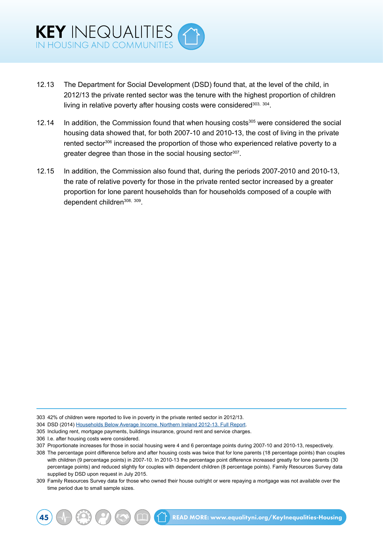- 12.13 The Department for Social Development (DSD) found that, at the level of the child, in 2012/13 the private rented sector was the tenure with the highest proportion of children living in relative poverty after housing costs were considered<sup>303, 304</sup>.
- 12.14 In addition, the Commission found that when housing costs<sup>305</sup> were considered the social housing data showed that, for both 2007-10 and 2010-13, the cost of living in the private rented sector<sup>306</sup> increased the proportion of those who experienced relative poverty to a greater degree than those in the social housing sector<sup>307</sup>.
- 12.15 In addition, the Commission also found that, during the periods 2007-2010 and 2010-13, the rate of relative poverty for those in the private rented sector increased by a greater proportion for lone parent households than for households composed of a couple with dependent children<sup>308, 309</sup>.

- 304 DSD (2014) [Households Below Average Income. Northern Ireland 2012-13. Full Report.](https://www.dsdni.gov.uk/sites/default/files/publications/dsd/hbai-2013-14-full-report.pdf)
- 305 Including rent, mortgage payments, buildings insurance, ground rent and service charges.
- 306 I.e. after housing costs were considered.

309 Family Resources Survey data for those who owned their house outright or were repaying a mortgage was not available over the time period due to small sample sizes.

<sup>303</sup> 42% of children were reported to live in poverty in the private rented sector in 2012/13.

<sup>307</sup> Proportionate increases for those in social housing were 4 and 6 percentage points during 2007-10 and 2010-13, respectively.

<sup>308</sup> The percentage point difference before and after housing costs was twice that for lone parents (18 percentage points) than couples with children (9 percentage points) in 2007-10. In 2010-13 the percentage point difference increased greatly for lone parents (30 percentage points) and reduced slightly for couples with dependent children (8 percentage points). Family Resources Survey data supplied by DSD upon request in July 2015.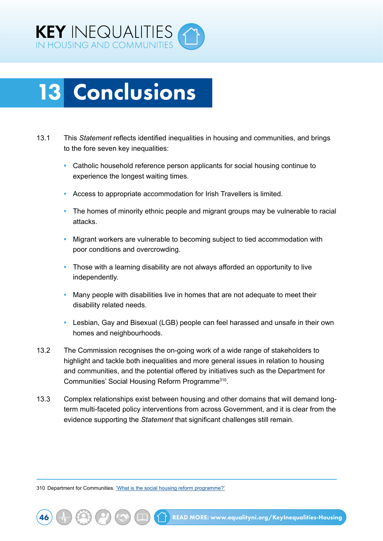<span id="page-52-0"></span>

## 13 Conclusions

- 13.1 This *Statement* reflects identified inequalities in housing and communities, and brings to the fore seven key inequalities:
	- **•** Catholic household reference person applicants for social housing continue to experience the longest waiting times.
	- **•** Access to appropriate accommodation for Irish Travellers is limited.
	- **•** The homes of minority ethnic people and migrant groups may be vulnerable to racial attacks.
	- **•** Migrant workers are vulnerable to becoming subject to tied accommodation with poor conditions and overcrowding.
	- **•** Those with a learning disability are not always afforded an opportunity to live independently.
	- **•** Many people with disabilities live in homes that are not adequate to meet their disability related needs.
	- **•** Lesbian, Gay and Bisexual (LGB) people can feel harassed and unsafe in their own homes and neighbourhoods.
- 13.2 The Commission recognises the on-going work of a wide range of stakeholders to highlight and tackle both inequalities and more general issues in relation to housing and communities, and the potential offered by initiatives such as the Department for Communities' Social Housing Reform Programme310.
- 13.3 Complex relationships exist between housing and other domains that will demand longterm multi-faceted policy interventions from across Government, and it is clear from the evidence supporting the *Statement* that significant challenges still remain.

310 Department for Communities. ['What is the social housing reform programme?'](https://www.communities-ni.gov.uk/articles/what-social-housing-reform-programme)

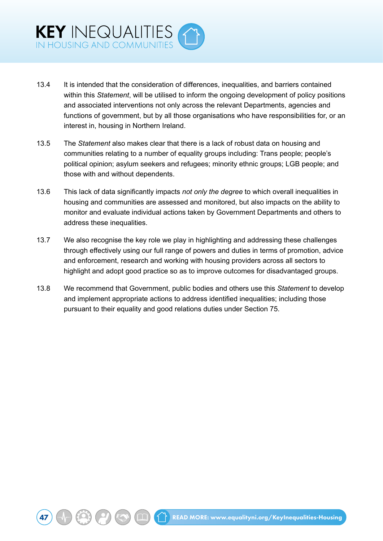- 13.4 It is intended that the consideration of differences, inequalities, and barriers contained within this *Statement*, will be utilised to inform the ongoing development of policy positions and associated interventions not only across the relevant Departments, agencies and functions of government, but by all those organisations who have responsibilities for, or an interest in, housing in Northern Ireland.
- 13.5 The *Statement* also makes clear that there is a lack of robust data on housing and communities relating to a number of equality groups including: Trans people; people's political opinion; asylum seekers and refugees; minority ethnic groups; LGB people; and those with and without dependents.
- 13.6 This lack of data significantly impacts *not only the degree* to which overall inequalities in housing and communities are assessed and monitored, but also impacts on the ability to monitor and evaluate individual actions taken by Government Departments and others to address these inequalities.
- 13.7 We also recognise the key role we play in highlighting and addressing these challenges through effectively using our full range of powers and duties in terms of promotion, advice and enforcement, research and working with housing providers across all sectors to highlight and adopt good practice so as to improve outcomes for disadvantaged groups.
- 13.8 We recommend that Government, public bodies and others use this *Statement* to develop and implement appropriate actions to address identified inequalities; including those pursuant to their equality and good relations duties under Section 75.

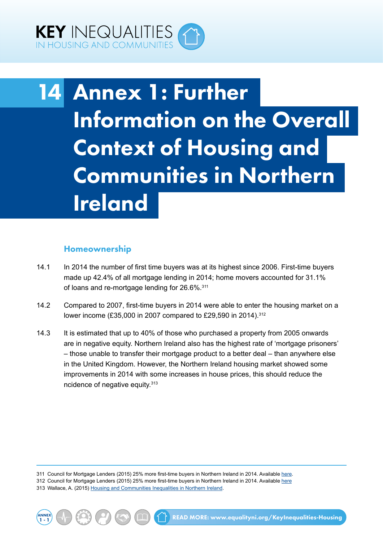<span id="page-54-0"></span>

## 14 Annex 1: Further Information on the Overall Context of Housing and Communities in Northern Ireland

#### Homeownership

- 14.1 In 2014 the number of first time buyers was at its highest since 2006. First-time buyers made up 42.4% of all mortgage lending in 2014; home movers accounted for 31.1% of loans and re-mortgage lending for 26.6%.<sup>311</sup>
- 14.2 Compared to 2007, first-time buyers in 2014 were able to enter the housing market on a lower income (£35,000 in 2007 compared to £29,590 in 2014).<sup>312</sup>
- 14.3 It is estimated that up to 40% of those who purchased a property from 2005 onwards are in negative equity. Northern Ireland also has the highest rate of 'mortgage prisoners' – those unable to transfer their mortgage product to a better deal – than anywhere else in the United Kingdom. However, the Northern Ireland housing market showed some improvements in 2014 with some increases in house prices, this should reduce the ncidence of negative equity.<sup>313</sup>

311 Council for Mortgage Lenders (2015) 25% more first-time buyers in Northern Ireland in 2014. Available [here.](http://www.cml.org.uk/cml/media/press/4144)

312 Council for Mortgage Lenders (2015) 25% more first-time buyers in Northern Ireland in 2014. Available [here](http://www.cml.org.uk/cml/media/press/4144) 313 Wallace, A. (2015) [Housing and Communities Inequalities in Northern Ireland.](http://www.equalityni.org/ECNI/media/ECNI/Publications/Delivering%20Equality/HousingInequalities-FullReport.pdf)

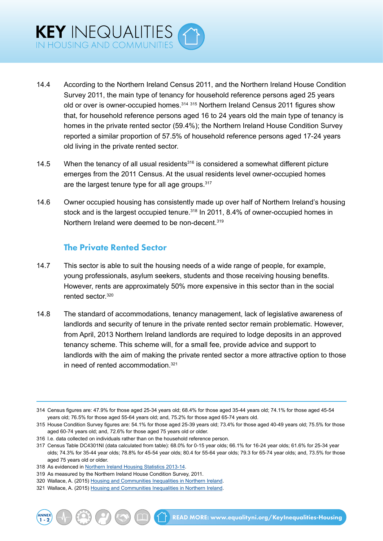- 14.4 According to the Northern Ireland Census 2011, and the Northern Ireland House Condition Survey 2011, the main type of tenancy for household reference persons aged 25 years old or over is owner-occupied homes.<sup>314 315</sup> Northern Ireland Census 2011 figures show that, for household reference persons aged 16 to 24 years old the main type of tenancy is homes in the private rented sector (59.4%); the Northern Ireland House Condition Survey reported a similar proportion of 57.5% of household reference persons aged 17-24 years old living in the private rented sector.
- 14.5 When the tenancy of all usual residents<sup>316</sup> is considered a somewhat different picture emerges from the 2011 Census. At the usual residents level owner-occupied homes are the largest tenure type for all age groups. 317
- 14.6 Owner occupied housing has consistently made up over half of Northern Ireland's housing stock and is the largest occupied tenure.<sup>318</sup> In 2011, 8.4% of owner-occupied homes in Northern Ireland were deemed to be non-decent 319

### The Private Rented Sector

- 14.7 This sector is able to suit the housing needs of a wide range of people, for example, young professionals, asylum seekers, students and those receiving housing benefits. However, rents are approximately 50% more expensive in this sector than in the social rented sector 320
- 14.8 The standard of accommodations, tenancy management, lack of legislative awareness of landlords and security of tenure in the private rented sector remain problematic. However, from April, 2013 Northern Ireland landlords are required to lodge deposits in an approved tenancy scheme. This scheme will, for a small fee, provide advice and support to landlords with the aim of making the private rented sector a more attractive option to those in need of rented accommodation.<sup>321</sup>

316 I.e. data collected on individuals rather than on the household reference person.

ANNEX

<sup>314</sup> Census figures are: 47.9% for those aged 25-34 years old; 68.4% for those aged 35-44 years old; 74.1% for those aged 45-54 years old; 76.5% for those aged 55-64 years old; and, 75.2% for those aged 65-74 years old.

<sup>315</sup> House Condition Survey figures are: 54.1% for those aged 25-39 years old; 73.4% for those aged 40-49 years old; 75.5% for those aged 60-74 years old; and, 72.6% for those aged 75 years old or older.

<sup>317</sup> Census Table DC4301NI (data calculated from table): 68.0% for 0-15 year olds; 66.1% for 16-24 year olds; 61.6% for 25-34 year olds; 74.3% for 35-44 year olds; 78.8% for 45-54 year olds; 80.4 for 55-64 year olds; 79.3 for 65-74 year olds; and, 73.5% for those aged 75 years old or older.

<sup>318</sup> As evidenced in [Northern Ireland Housing Statistics 2013-14.](https://www.dsdni.gov.uk/publications/northern-ireland-housing-statistics-2013-14)

<sup>319</sup> As measured by the Northern Ireland House Condition Survey, 2011.

<sup>320</sup> Wallace, A. (2015) [Housing and Communities Inequalities in Northern Ireland.](http://www.equalityni.org/ECNI/media/ECNI/Publications/Delivering%20Equality/HousingInequalities-FullReport.pdf)

<sup>321</sup> Wallace, A. (2015) [Housing and Communities Inequalities in Northern Ireland.](http://www.equalityni.org/ECNI/media/ECNI/Publications/Delivering%20Equality/HousingInequalities-FullReport.pdf)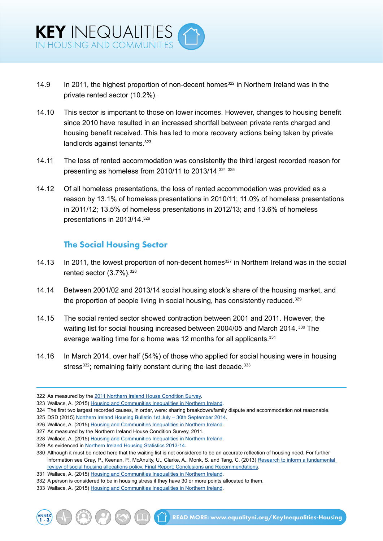- 14.9 In 2011, the highest proportion of non-decent homes<sup>322</sup> in Northern Ireland was in the private rented sector (10.2%).
- 14.10 This sector is important to those on lower incomes. However, changes to housing benefit since 2010 have resulted in an increased shortfall between private rents charged and housing benefit received. This has led to more recovery actions being taken by private landlords against tenants.<sup>323</sup>
- 14.11 The loss of rented accommodation was consistently the third largest recorded reason for presenting as homeless from 2010/11 to 2013/14.324 <sup>325</sup>
- 14.12 Of all homeless presentations, the loss of rented accommodation was provided as a reason by 13.1% of homeless presentations in 2010/11; 11.0% of homeless presentations in 2011/12; 13.5% of homeless presentations in 2012/13; and 13.6% of homeless presentations in 2013/14.326

#### The Social Housing Sector

- 14.13 In 2011, the lowest proportion of non-decent homes<sup>327</sup> in Northern Ireland was in the social rented sector (3.7%).<sup>328</sup>
- 14.14 Between 2001/02 and 2013/14 social housing stock's share of the housing market, and the proportion of people living in social housing, has consistently reduced.<sup>329</sup>
- 14.15 The social rented sector showed contraction between 2001 and 2011. However, the waiting list for social housing increased between 2004/05 and March 2014.<sup>330</sup> The average waiting time for a home was 12 months for all applicants.<sup>331</sup>
- 14.16 In March 2014, over half (54%) of those who applied for social housing were in housing stress<sup>332</sup>; remaining fairly constant during the last decade.<sup>333</sup>

ANNEX

 $1$  READ MORE: [www.equalityni.org/KeyInequalities-Housing](http://www.equalityni.org/KeyInequalities-Housing)

<sup>322</sup> As measured by the [2011 Northern Ireland House Condition Survey](http://www.nihe.gov.uk/index/sp_home/research-2/house_condition_survey.htm).

<sup>323</sup> Wallace, A. (2015) [Housing and Communities Inequalities in Northern Ireland.](http://www.equalityni.org/ECNI/media/ECNI/Publications/Delivering%20Equality/HousingInequalities-FullReport.pdf)

<sup>324</sup> The first two largest recorded causes, in order, were: sharing breakdown/family dispute and accommodation not reasonable.

<sup>325</sup> DSD (2015) [Northern Ireland Housing Bulletin 1st July – 30th September 2014](https://www.dsdni.gov.uk/sites/default/files/publications/dsd/housing_bulletin_jul_-_sep_2014_-_web_version.pdf).

<sup>326</sup> Wallace, A. (2015) [Housing and Communities Inequalities in Northern Ireland.](http://www.equalityni.org/ECNI/media/ECNI/Publications/Delivering%20Equality/HousingInequalities-FullReport.pdf)

<sup>327</sup> As measured by the Northern Ireland House Condition Survey, 2011.

<sup>328</sup> Wallace, A. (2015) [Housing and Communities Inequalities in Northern Ireland.](http://www.equalityni.org/ECNI/media/ECNI/Publications/Delivering%20Equality/HousingInequalities-FullReport.pdf)

<sup>329</sup> As evidenced in [Northern Ireland Housing Statistics 2013-14.](https://www.dsdni.gov.uk/publications/northern-ireland-housing-statistics-2013-14)

<sup>330</sup> Although it must be noted here that the waiting list is not considered to be an accurate reflection of housing need. For further information see Gray, P., Keenan, P., McAnulty, U., Clarke, A., Monk, S. and Tang, C. (2013) [Research to inform a fundamental](http://uir.ulster.ac.uk/29108/2/fundamental-review-of-allocations-policy_-_final.pdf)  [review of social housing allocations policy. Final Report: Conclusions and Recommendations](http://uir.ulster.ac.uk/29108/2/fundamental-review-of-allocations-policy_-_final.pdf).

<sup>331</sup> Wallace, A. (2015) [Housing and Communities Inequalities in Northern Ireland.](http://www.equalityni.org/ECNI/media/ECNI/Publications/Delivering%20Equality/HousingInequalities-FullReport.pdf)

<sup>332</sup> A person is considered to be in housing stress if they have 30 or more points allocated to them.

<sup>333</sup> Wallace, A. (2015) [Housing and Communities Inequalities in Northern Ireland.](http://www.equalityni.org/ECNI/media/ECNI/Publications/Delivering%20Equality/HousingInequalities-FullReport.pdf)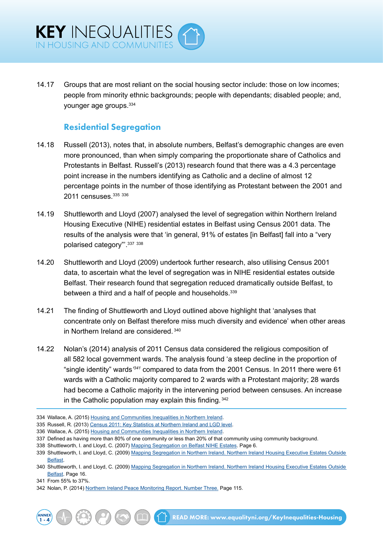14.17 Groups that are most reliant on the social housing sector include: those on low incomes; people from minority ethnic backgrounds; people with dependants; disabled people; and, younger age groups.334

#### Residential Segregation

- 14.18 Russell (2013), notes that, in absolute numbers, Belfast's demographic changes are even more pronounced, than when simply comparing the proportionate share of Catholics and Protestants in Belfast. Russell's (2013) research found that there was a 4.3 percentage point increase in the numbers identifying as Catholic and a decline of almost 12 percentage points in the number of those identifying as Protestant between the 2001 and 2011 censuses. 335 336
- 14.19 Shuttleworth and Lloyd (2007) analysed the level of segregation within Northern Ireland Housing Executive (NIHE) residential estates in Belfast using Census 2001 data. The results of the analysis were that 'in general, 91% of estates [in Belfast] fall into a "very polarised category"'.337 <sup>338</sup>
- 14.20 Shuttleworth and Lloyd (2009) undertook further research, also utilising Census 2001 data, to ascertain what the level of segregation was in NIHE residential estates outside Belfast. Their research found that segregation reduced dramatically outside Belfast, to between a third and a half of people and households.<sup>339</sup>
- 14.21 The finding of Shuttleworth and Lloyd outlined above highlight that 'analyses that concentrate only on Belfast therefore miss much diversity and evidence' when other areas in Northern Ireland are considered. <sup>340</sup>
- 14.22 Nolan's (2014) analysis of 2011 Census data considered the religious composition of all 582 local government wards. The analysis found 'a steep decline in the proportion of "single identity" wards*' <sup>341</sup>* compared to data from the 2001 Census. In 2011 there were 61 wards with a Catholic majority compared to 2 wards with a Protestant majority; 28 wards had become a Catholic majority in the intervening period between censuses. An increase in the Catholic population may explain this finding. <sup>342</sup>

ANNEX

<sup>334</sup> Wallace, A. (2015) [Housing and Communities Inequalities in Northern Ireland.](http://www.equalityni.org/ECNI/media/ECNI/Publications/Delivering%20Equality/HousingInequalities-FullReport.pdf)

<sup>335</sup> Russell, R. (2013) [Census 2011: Key Statistics at Northern Ireland and LGD level](http://www.google.co.uk/url?sa=t&rct=j&q=&esrc=s&source=web&cd=4&cad=rja&uact=8&ved=0ahUKEwiQlaiq5fnKAhUCXQ8KHaedDMUQFgg1MAM&url=http%3A%2F%2Fwww.niassembly.gov.uk%2Fglobalassets%2Fdocuments%2Fraise%2Fpublications%2F2013%2Fgeneral%2Frussell3013.pdf&usg=AFQ).

<sup>336</sup> Wallace, A. (2015) [Housing and Communities Inequalities in Northern Ireland.](http://www.equalityni.org/ECNI/media/ECNI/Publications/Delivering%20Equality/HousingInequalities-FullReport.pdf)

<sup>337</sup> Defined as having more than 80% of one community or less than 20% of that community using community background.

<sup>338</sup> Shuttleworth, I. and Lloyd, C. (2007) [Mapping Segregation on Belfast NIHE Estates](http://www.nihe.gov.uk/mapping_segregation_final_report.pdf). Page 6.

<sup>339</sup> Shuttleworth, I. and Lloyd, C. (2009) [Mapping Segregation in Northern Ireland. Northern Ireland Housing Executive Estates Outside](http://www.nihe.gov.uk/mapping_segregation_in_northern_ireland_-_northern_ireland_housing_executive_estates_outside_belfast.pdf)  [Belfast](http://www.nihe.gov.uk/mapping_segregation_in_northern_ireland_-_northern_ireland_housing_executive_estates_outside_belfast.pdf).

<sup>340</sup> Shuttleworth, I. and Lloyd, C. (2009) [Mapping Segregation in Northern Ireland. Northern Ireland Housing Executive Estates Outside](http://www.nihe.gov.uk/mapping_segregation_in_northern_ireland_-_northern_ireland_housing_executive_estates_outside_belfast.pdf)  [Belfast](http://www.nihe.gov.uk/mapping_segregation_in_northern_ireland_-_northern_ireland_housing_executive_estates_outside_belfast.pdf). Page 16.

<sup>341</sup> From 55% to 37%.

<sup>342</sup> Nolan, P. (2014) [Northern Ireland Peace Monitoring Report. Number Three.](http://www.community-relations.org.uk/programmes/peace-monitoring/) Page 115.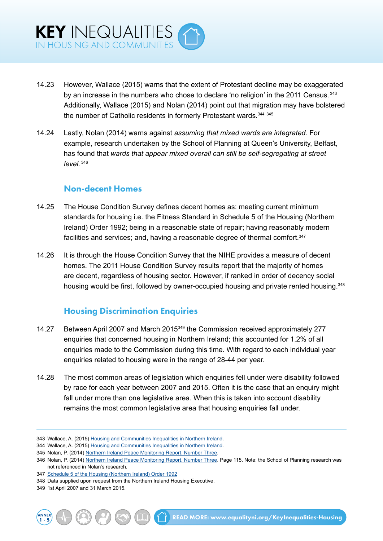- 14.23 However, Wallace (2015) warns that the extent of Protestant decline may be exaggerated by an increase in the numbers who chose to declare 'no religion' in the 2011 Census. 343 Additionally, Wallace (2015) and Nolan (2014) point out that migration may have bolstered the number of Catholic residents in formerly Protestant wards. 344 345
- 14.24 Lastly, Nolan (2014) warns against *assuming that mixed wards are integrated.* For example, research undertaken by the School of Planning at Queen's University, Belfast, has found that *wards that appear mixed overall can still be self-segregating at street level.* <sup>346</sup>

#### Non-decent Homes

- 14.25 The House Condition Survey defines decent homes as: meeting current minimum standards for housing i.e. the Fitness Standard in Schedule 5 of the Housing (Northern Ireland) Order 1992; being in a reasonable state of repair; having reasonably modern facilities and services; and, having a reasonable degree of thermal comfort.<sup>347</sup>
- 14.26 It is through the House Condition Survey that the NIHE provides a measure of decent homes. The 2011 House Condition Survey results report that the majority of homes are decent, regardless of housing sector. However, if ranked in order of decency social housing would be first, followed by owner-occupied housing and private rented housing.<sup>348</sup>

### Housing Discrimination Enquiries

- 14.27 Between April 2007 and March 2015349 the Commission received approximately 277 enquiries that concerned housing in Northern Ireland; this accounted for 1.2% of all enquiries made to the Commission during this time. With regard to each individual year enquiries related to housing were in the range of 28-44 per year.
- 14.28 The most common areas of legislation which enquiries fell under were disability followed by race for each year between 2007 and 2015. Often it is the case that an enquiry might fall under more than one legislative area. When this is taken into account disability remains the most common legislative area that housing enquiries fall under.

<sup>349</sup> 1st April 2007 and 31 March 2015.



<sup>343</sup> Wallace, A. (2015) [Housing and Communities Inequalities in Northern Ireland.](http://www.equalityni.org/ECNI/media/ECNI/Publications/Delivering%20Equality/HousingInequalities-FullReport.pdf)

<sup>344</sup> Wallace, A. (2015) [Housing and Communities Inequalities in Northern Ireland.](http://www.equalityni.org/ECNI/media/ECNI/Publications/Delivering%20Equality/HousingInequalities-FullReport.pdf)

<sup>345</sup> Nolan, P. (2014) [Northern Ireland Peace Monitoring Report. Number Three.](http://www.community-relations.org.uk/programmes/peace-monitoring/)

<sup>346</sup> Nolan, P. (2014) [Northern Ireland Peace Monitoring Report. Number Three](http://www.community-relations.org.uk/programmes/peace-monitoring/). Page 115. Note: the School of Planning research was not referenced in Nolan's research.

<sup>347</sup> [Schedule 5 of the Housing \(Northern Ireland\) Order 1992](http://www.legislation.gov.uk/nisi/1992/1725/contents/made)

<sup>348</sup> Data supplied upon request from the Northern Ireland Housing Executive.